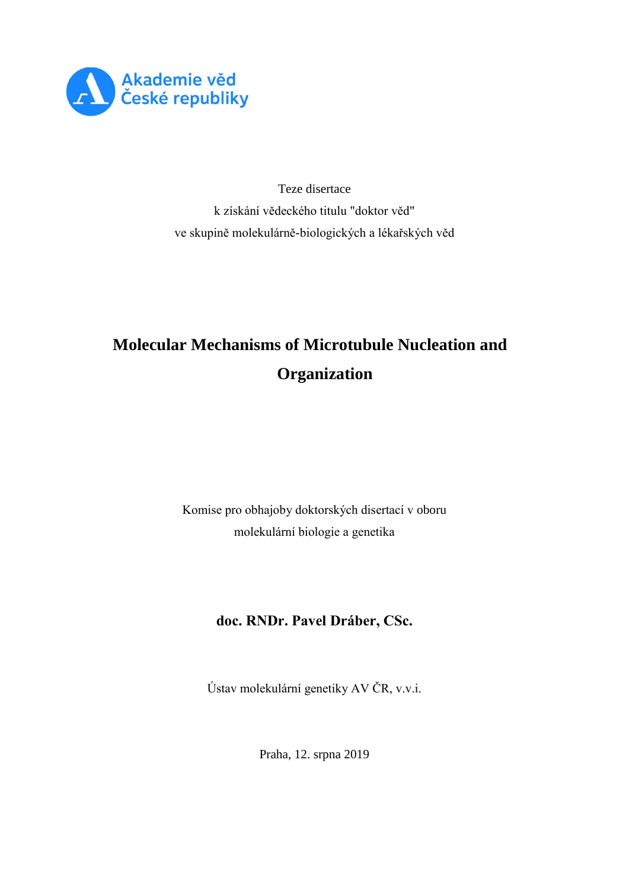

Teze disertace k získání vědeckého titulu "doktor věd" ve skupině molekulárně-biologických a lékařských věd

# **Molecular Mechanisms of Microtubule Nucleation and Organization**

Komise pro obhajoby doktorských disertací v oboru molekulární biologie a genetika

**doc. RNDr. Pavel Dráber, CSc.**

Ústav molekulární genetiky AV ČR, v.v.i.

Praha, 12. srpna 2019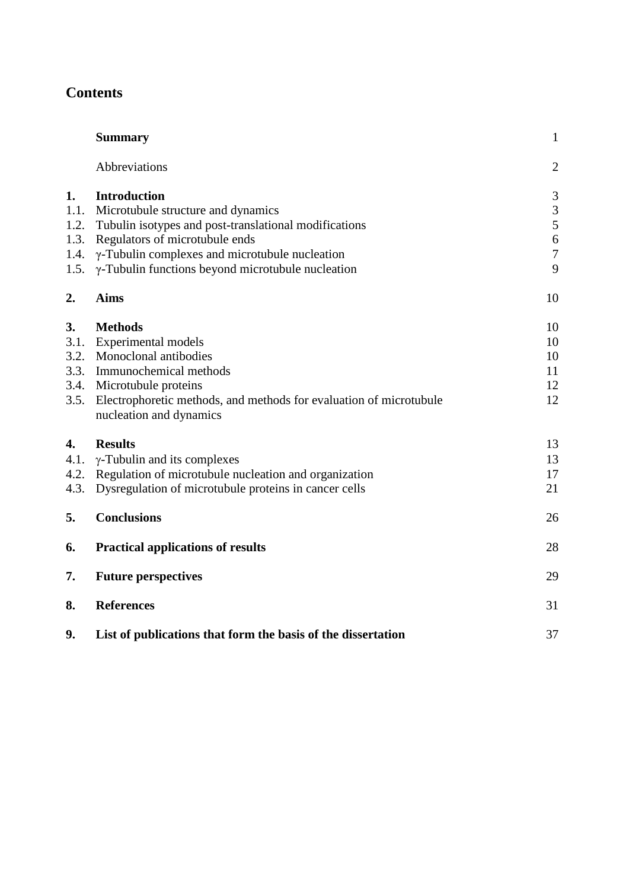# **Contents**

|      | <b>Summary</b>                                                                                | $\mathbf{1}$   |
|------|-----------------------------------------------------------------------------------------------|----------------|
|      | Abbreviations                                                                                 | $\mathfrak{2}$ |
| 1.   | <b>Introduction</b>                                                                           | 3              |
| 1.1. | Microtubule structure and dynamics                                                            | $\mathfrak{Z}$ |
| 1.2. | Tubulin isotypes and post-translational modifications                                         | 5              |
| 1.3. | Regulators of microtubule ends                                                                | 6              |
| 1.4. | $\gamma$ -Tubulin complexes and microtubule nucleation                                        | $\overline{7}$ |
| 1.5. | γ-Tubulin functions beyond microtubule nucleation                                             | 9              |
| 2.   | <b>Aims</b>                                                                                   | 10             |
| 3.   | <b>Methods</b>                                                                                | 10             |
| 3.1. | Experimental models                                                                           | 10             |
| 3.2. | Monoclonal antibodies                                                                         | 10             |
| 3.3. | Immunochemical methods                                                                        | 11             |
| 3.4. | Microtubule proteins                                                                          | 12             |
| 3.5. | Electrophoretic methods, and methods for evaluation of microtubule<br>nucleation and dynamics | 12             |
| 4.   | <b>Results</b>                                                                                | 13             |
| 4.1. | $\gamma$ -Tubulin and its complexes                                                           | 13             |
| 4.2. | Regulation of microtubule nucleation and organization                                         | 17             |
| 4.3. | Dysregulation of microtubule proteins in cancer cells                                         | 21             |
| 5.   | <b>Conclusions</b>                                                                            | 26             |
| 6.   | <b>Practical applications of results</b>                                                      | 28             |
| 7.   | <b>Future perspectives</b>                                                                    | 29             |
| 8.   | <b>References</b>                                                                             | 31             |
| 9.   | List of publications that form the basis of the dissertation                                  | 37             |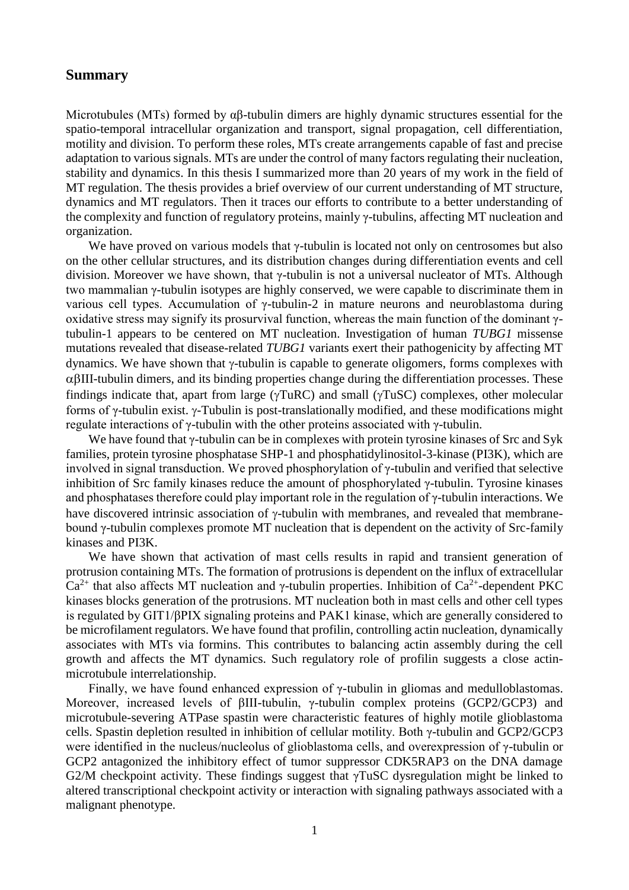## **Summary**

Microtubules (MTs) formed by  $\alpha\beta$ -tubulin dimers are highly dynamic structures essential for the spatio-temporal intracellular organization and transport, signal propagation, cell differentiation, motility and division. To perform these roles, MTs create arrangements capable of fast and precise adaptation to various signals. MTs are under the control of many factors regulating their nucleation, stability and dynamics. In this thesis I summarized more than 20 years of my work in the field of MT regulation. The thesis provides a brief overview of our current understanding of MT structure, dynamics and MT regulators. Then it traces our efforts to contribute to a better understanding of the complexity and function of regulatory proteins, mainly γ-tubulins, affecting MT nucleation and organization.

We have proved on various models that  $\gamma$ -tubulin is located not only on centrosomes but also on the other cellular structures, and its distribution changes during differentiation events and cell division. Moreover we have shown, that γ-tubulin is not a universal nucleator of MTs. Although two mammalian γ-tubulin isotypes are highly conserved, we were capable to discriminate them in various cell types. Accumulation of γ-tubulin-2 in mature neurons and neuroblastoma during oxidative stress may signify its prosurvival function, whereas the main function of the dominant γtubulin-1 appears to be centered on MT nucleation. Investigation of human *TUBG1* missense mutations revealed that disease-related *TUBG1* variants exert their pathogenicity by affecting MT dynamics. We have shown that  $\gamma$ -tubulin is capable to generate oligomers, forms complexes with  $\alpha\beta$ III-tubulin dimers, and its binding properties change during the differentiation processes. These findings indicate that, apart from large ( $\gamma \text{TuRC}$ ) and small ( $\gamma \text{TuSC}$ ) complexes, other molecular forms of γ-tubulin exist. γ-Tubulin is post-translationally modified, and these modifications might regulate interactions of γ-tubulin with the other proteins associated with γ-tubulin.

We have found that γ-tubulin can be in complexes with protein tyrosine kinases of Src and Syk families, protein tyrosine phosphatase SHP-1 and phosphatidylinositol-3-kinase (PI3K), which are involved in signal transduction. We proved phosphorylation of γ-tubulin and verified that selective inhibition of Src family kinases reduce the amount of phosphorylated γ-tubulin. Tyrosine kinases and phosphatases therefore could play important role in the regulation of  $\gamma$ -tubulin interactions. We have discovered intrinsic association of  $\gamma$ -tubulin with membranes, and revealed that membranebound γ-tubulin complexes promote MT nucleation that is dependent on the activity of Src-family kinases and PI3K.

We have shown that activation of mast cells results in rapid and transient generation of protrusion containing MTs. The formation of protrusions is dependent on the influx of extracellular  $Ca^{2+}$  that also affects MT nucleation and  $\gamma$ -tubulin properties. Inhibition of  $Ca^{2+}$ -dependent PKC kinases blocks generation of the protrusions. MT nucleation both in mast cells and other cell types is regulated by GIT1/βPIX signaling proteins and PAK1 kinase, which are generally considered to be microfilament regulators. We have found that profilin, controlling actin nucleation, dynamically associates with MTs via formins. This contributes to balancing actin assembly during the cell growth and affects the MT dynamics. Such regulatory role of profilin suggests a close actinmicrotubule interrelationship.

Finally, we have found enhanced expression of γ-tubulin in gliomas and medulloblastomas. Moreover, increased levels of βIII-tubulin, γ-tubulin complex proteins (GCP2/GCP3) and microtubule-severing ATPase spastin were characteristic features of highly motile glioblastoma cells. Spastin depletion resulted in inhibition of cellular motility. Both γ-tubulin and GCP2/GCP3 were identified in the nucleus/nucleolus of glioblastoma cells, and overexpression of γ-tubulin or GCP2 antagonized the inhibitory effect of tumor suppressor CDK5RAP3 on the DNA damage G2/M checkpoint activity. These findings suggest that γTuSC dysregulation might be linked to altered transcriptional checkpoint activity or interaction with signaling pathways associated with a malignant phenotype.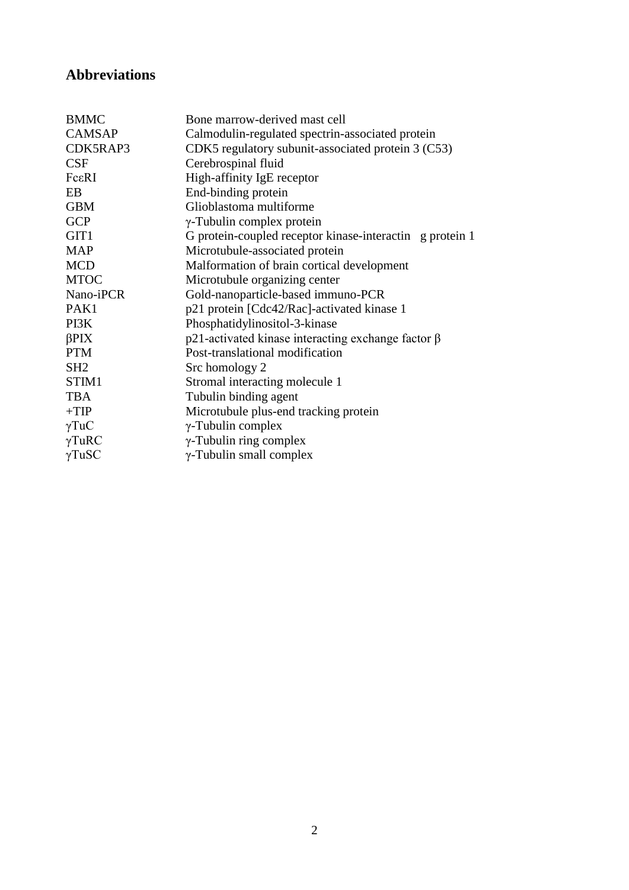# **Abbreviations**

| <b>BMMC</b>                                                       | Bone marrow-derived mast cell                               |  |
|-------------------------------------------------------------------|-------------------------------------------------------------|--|
| <b>CAMSAP</b><br>Calmodulin-regulated spectrin-associated protein |                                                             |  |
| CDK5RAP3                                                          | CDK5 regulatory subunit-associated protein 3 (C53)          |  |
| CSF                                                               | Cerebrospinal fluid                                         |  |
| FcεRI                                                             | High-affinity IgE receptor                                  |  |
| EB                                                                | End-binding protein                                         |  |
| <b>GBM</b>                                                        | Glioblastoma multiforme                                     |  |
| <b>GCP</b>                                                        | γ-Tubulin complex protein                                   |  |
| GIT <sub>1</sub>                                                  | G protein-coupled receptor kinase-interactin g protein 1    |  |
| <b>MAP</b>                                                        | Microtubule-associated protein                              |  |
| <b>MCD</b>                                                        | Malformation of brain cortical development                  |  |
| <b>MTOC</b>                                                       | Microtubule organizing center                               |  |
| Nano-iPCR                                                         | Gold-nanoparticle-based immuno-PCR                          |  |
| PAK1                                                              | p21 protein [Cdc42/Rac]-activated kinase 1                  |  |
| PI3K                                                              | Phosphatidylinositol-3-kinase                               |  |
| $\beta$ PIX                                                       | $p21$ -activated kinase interacting exchange factor $\beta$ |  |
| <b>PTM</b>                                                        | Post-translational modification                             |  |
| SH <sub>2</sub>                                                   | Src homology 2                                              |  |
| STIM1                                                             | Stromal interacting molecule 1                              |  |
| <b>TBA</b>                                                        | Tubulin binding agent                                       |  |
| $+TIP$                                                            | Microtubule plus-end tracking protein                       |  |
| $\gamma T u C$                                                    | $\gamma$ -Tubulin complex                                   |  |
| $\gamma$ TuRC                                                     | $\gamma$ -Tubulin ring complex                              |  |
| $\gamma$ TuSC                                                     | $\gamma$ -Tubulin small complex                             |  |
|                                                                   |                                                             |  |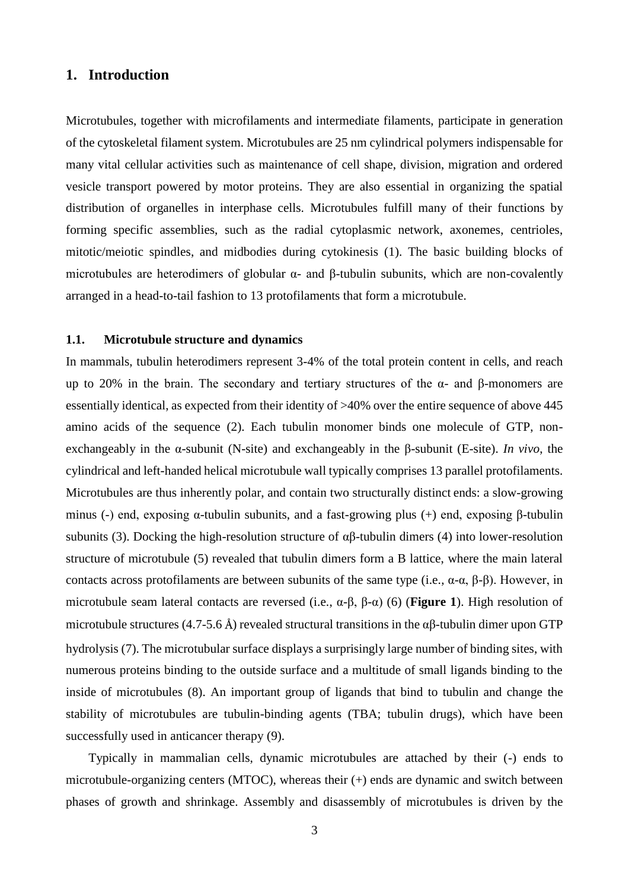# **1. Introduction**

Microtubules, together with microfilaments and intermediate filaments, participate in generation of the cytoskeletal filament system. Microtubules are 25 nm cylindrical polymers indispensable for many vital cellular activities such as maintenance of cell shape, division, migration and ordered vesicle transport powered by motor proteins. They are also essential in organizing the spatial distribution of organelles in interphase cells. Microtubules fulfill many of their functions by forming specific assemblies, such as the radial cytoplasmic network, axonemes, centrioles, mitotic/meiotic spindles, and midbodies during cytokinesis (1). The basic building blocks of microtubules are heterodimers of globular  $\alpha$ - and  $\beta$ -tubulin subunits, which are non-covalently arranged in a head-to-tail fashion to 13 protofilaments that form a microtubule.

#### **1.1. Microtubule structure and dynamics**

In mammals, tubulin heterodimers represent 3-4% of the total protein content in cells, and reach up to 20% in the brain. The secondary and tertiary structures of the α- and β-monomers are essentially identical, as expected from their identity of >40% over the entire sequence of above 445 amino acids of the sequence (2). Each tubulin monomer binds one molecule of GTP, nonexchangeably in the α-subunit (N-site) and exchangeably in the β-subunit (E-site). *In vivo*, the cylindrical and left-handed helical microtubule wall typically comprises 13 parallel protofilaments. Microtubules are thus inherently polar, and contain two structurally distinct ends: a slow-growing minus (-) end, exposing α-tubulin subunits, and a fast-growing plus (+) end, exposing β-tubulin subunits (3). Docking the high-resolution structure of  $\alpha\beta$ -tubulin dimers (4) into lower-resolution structure of microtubule (5) revealed that tubulin dimers form a B lattice, where the main lateral contacts across protofilaments are between subunits of the same type (i.e., α-α, β-β). However, in microtubule seam lateral contacts are reversed (i.e., α-β, β-α) (6) (**Figure 1**). High resolution of microtubule structures (4.7-5.6 Å) revealed structural transitions in the  $\alpha\beta$ -tubulin dimer upon GTP hydrolysis (7). The microtubular surface displays a surprisingly large number of binding sites, with numerous proteins binding to the outside surface and a multitude of small ligands binding to the inside of microtubules (8). An important group of ligands that bind to tubulin and change the stability of microtubules are tubulin-binding agents (TBA; tubulin drugs), which have been successfully used in anticancer therapy (9).

Typically in mammalian cells, dynamic microtubules are attached by their (-) ends to microtubule-organizing centers (MTOC), whereas their (+) ends are dynamic and switch between phases of growth and shrinkage. Assembly and disassembly of microtubules is driven by the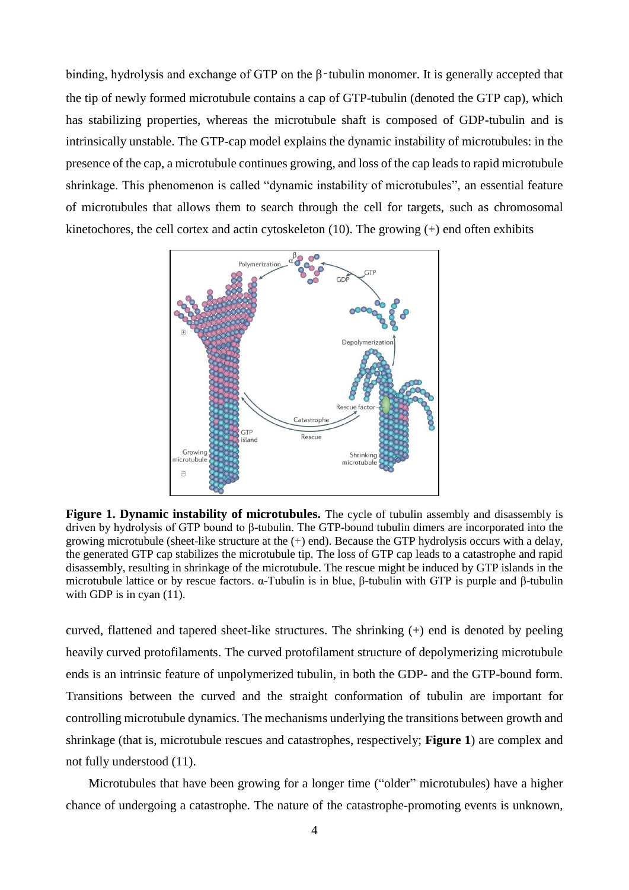binding, hydrolysis and exchange of GTP on the β‑tubulin monomer. It is generally accepted that the tip of newly formed microtubule contains a cap of GTP-tubulin (denoted the GTP cap), which has stabilizing properties, whereas the microtubule shaft is composed of GDP-tubulin and is intrinsically unstable. The GTP-cap model explains the dynamic instability of microtubules: in the presence of the cap, a microtubule continues growing, and loss of the cap leads to rapid microtubule shrinkage. This phenomenon is called "dynamic instability of microtubules", an essential feature of microtubules that allows them to search through the cell for targets, such as chromosomal kinetochores, the cell cortex and actin cytoskeleton  $(10)$ . The growing  $(+)$  end often exhibits



Figure 1. Dynamic instability of microtubules. The cycle of tubulin assembly and disassembly is driven by hydrolysis of GTP bound to β-tubulin. The GTP-bound tubulin dimers are incorporated into the growing microtubule (sheet-like structure at the  $(+)$  end). Because the GTP hydrolysis occurs with a delay, the generated GTP cap stabilizes the microtubule tip. The loss of GTP cap leads to a catastrophe and rapid disassembly, resulting in shrinkage of the microtubule. The rescue might be induced by GTP islands in the microtubule lattice or by rescue factors. α-Tubulin is in blue, β-tubulin with GTP is purple and β-tubulin with GDP is in cyan  $(11)$ .

curved, flattened and tapered sheet-like structures. The shrinking (+) end is denoted by peeling heavily curved protofilaments. The curved protofilament structure of depolymerizing microtubule ends is an intrinsic feature of unpolymerized tubulin, in both the GDP- and the GTP-bound form. Transitions between the curved and the straight conformation of tubulin are important for controlling microtubule dynamics. The mechanisms underlying the transitions between growth and shrinkage (that is, microtubule rescues and catastrophes, respectively; **Figure 1**) are complex and not fully understood (11).

Microtubules that have been growing for a longer time ("older" microtubules) have a higher chance of undergoing a catastrophe. The nature of the catastrophe-promoting events is unknown,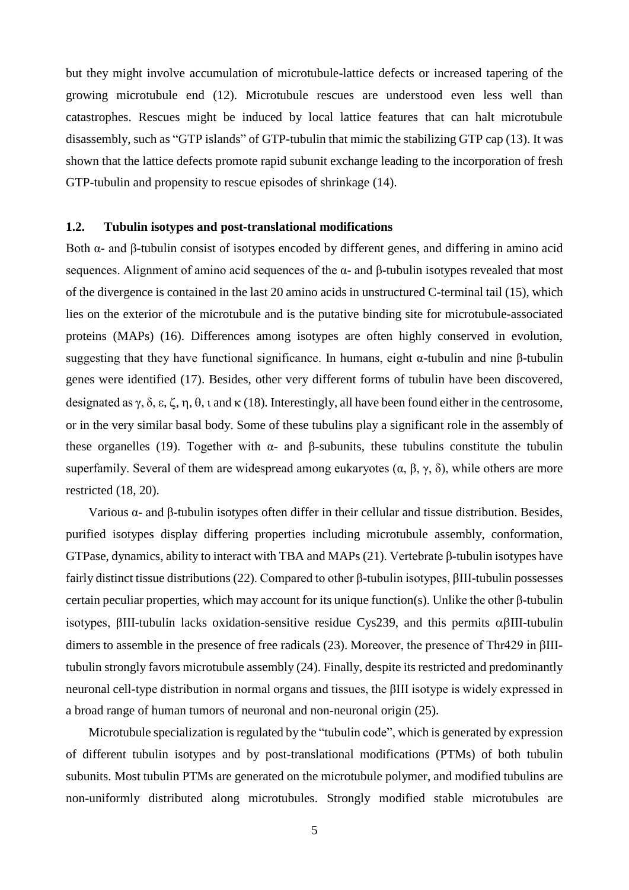but they might involve accumulation of microtubule-lattice defects or increased tapering of the growing microtubule end (12). Microtubule rescues are understood even less well than catastrophes. Rescues might be induced by local lattice features that can halt microtubule disassembly, such as "GTP islands" of GTP-tubulin that mimic the stabilizing GTP cap (13). It was shown that the lattice defects promote rapid subunit exchange leading to the incorporation of fresh GTP-tubulin and propensity to rescue episodes of shrinkage (14).

#### **1.2. Tubulin isotypes and post-translational modifications**

Both α- and β-tubulin consist of isotypes encoded by different genes, and differing in amino acid sequences. Alignment of amino acid sequences of the  $\alpha$ - and  $\beta$ -tubulin isotypes revealed that most of the divergence is contained in the last 20 amino acids in unstructured C-terminal tail (15), which lies on the exterior of the microtubule and is the putative binding site for microtubule-associated proteins (MAPs) (16). Differences among isotypes are often highly conserved in evolution, suggesting that they have functional significance. In humans, eight  $\alpha$ -tubulin and nine β-tubulin genes were identified (17). Besides, other very different forms of tubulin have been discovered, designated as  $\gamma$ ,  $\delta$ ,  $\varepsilon$ ,  $\zeta$ ,  $\eta$ ,  $\theta$ ,  $\iota$  and  $\kappa$  (18). Interestingly, all have been found either in the centrosome, or in the very similar basal body. Some of these tubulins play a significant role in the assembly of these organelles (19). Together with  $\alpha$ - and β-subunits, these tubulins constitute the tubulin superfamily. Several of them are widespread among eukaryotes  $(\alpha, \beta, \gamma, \delta)$ , while others are more restricted (18, 20).

Various α- and β-tubulin isotypes often differ in their cellular and tissue distribution. Besides, purified isotypes display differing properties including microtubule assembly, conformation, GTPase, dynamics, ability to interact with TBA and MAPs (21). Vertebrate β-tubulin isotypes have fairly distinct tissue distributions (22). Compared to other β-tubulin isotypes, βIII-tubulin possesses certain peculiar properties, which may account for its unique function(s). Unlike the other β-tubulin isotypes,  $\beta$ III-tubulin lacks oxidation-sensitive residue Cys239, and this permits  $\alpha\beta$ III-tubulin dimers to assemble in the presence of free radicals (23). Moreover, the presence of Thr429 in βIIItubulin strongly favors microtubule assembly (24). Finally, despite its restricted and predominantly neuronal cell-type distribution in normal organs and tissues, the βIII isotype is widely expressed in a broad range of human tumors of neuronal and non-neuronal origin (25).

Microtubule specialization is regulated by the "tubulin code", which is generated by expression of different tubulin isotypes and by post-translational modifications (PTMs) of both tubulin subunits. Most tubulin PTMs are generated on the microtubule polymer, and modified tubulins are non-uniformly distributed along microtubules. Strongly modified stable microtubules are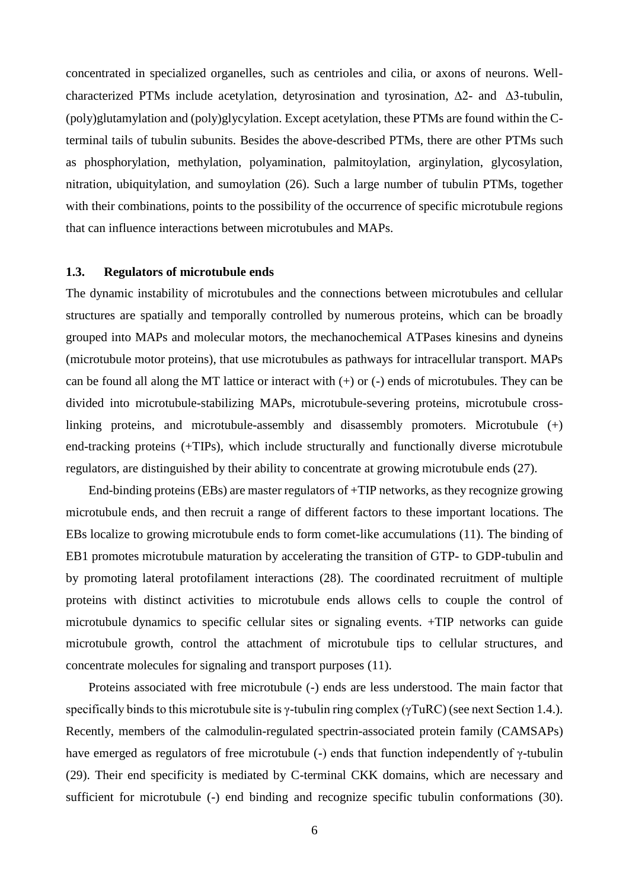concentrated in specialized organelles, such as centrioles and cilia, or axons of neurons. Wellcharacterized PTMs include acetylation, detyrosination and tyrosination,  $\Delta 2$ - and  $\Delta 3$ -tubulin, (poly)glutamylation and (poly)glycylation. Except acetylation, these PTMs are found within the Cterminal tails of tubulin subunits. Besides the above-described PTMs, there are other PTMs such as phosphorylation, methylation, polyamination, palmitoylation, arginylation, glycosylation, nitration, ubiquitylation, and sumoylation (26). Such a large number of tubulin PTMs, together with their combinations, points to the possibility of the occurrence of specific microtubule regions that can influence interactions between microtubules and MAPs.

#### **1.3. Regulators of microtubule ends**

The dynamic instability of microtubules and the connections between microtubules and cellular structures are spatially and temporally controlled by numerous proteins, which can be broadly grouped into MAPs and molecular motors, the mechanochemical ATPases kinesins and dyneins (microtubule motor proteins), that use microtubules as pathways for intracellular transport. MAPs can be found all along the MT lattice or interact with  $(+)$  or  $(-)$  ends of microtubules. They can be divided into microtubule-stabilizing MAPs, microtubule-severing proteins, microtubule crosslinking proteins, and microtubule-assembly and disassembly promoters. Microtubule (+) end-tracking proteins (+TIPs), which include structurally and functionally diverse microtubule regulators, are distinguished by their ability to concentrate at growing microtubule ends (27).

End-binding proteins (EBs) are master regulators of +TIP networks, as they recognize growing microtubule ends, and then recruit a range of different factors to these important locations. The EBs localize to growing microtubule ends to form comet-like accumulations (11). The binding of EB1 promotes microtubule maturation by accelerating the transition of GTP- to GDP-tubulin and by promoting lateral protofilament interactions (28). The coordinated recruitment of multiple proteins with distinct activities to microtubule ends allows cells to couple the control of microtubule dynamics to specific cellular sites or signaling events. +TIP networks can guide microtubule growth, control the attachment of microtubule tips to cellular structures, and concentrate molecules for signaling and transport purposes (11).

Proteins associated with free microtubule (-) ends are less understood. The main factor that specifically binds to this microtubule site is  $\gamma$ -tubulin ring complex ( $\gamma \text{TuRC}$ ) (see next Section 1.4.). Recently, members of the calmodulin-regulated spectrin-associated protein family (CAMSAPs) have emerged as regulators of free microtubule (-) ends that function independently of  $\gamma$ -tubulin (29). Their end specificity is mediated by C-terminal CKK domains, which are necessary and sufficient for microtubule (-) end binding and recognize specific tubulin conformations (30).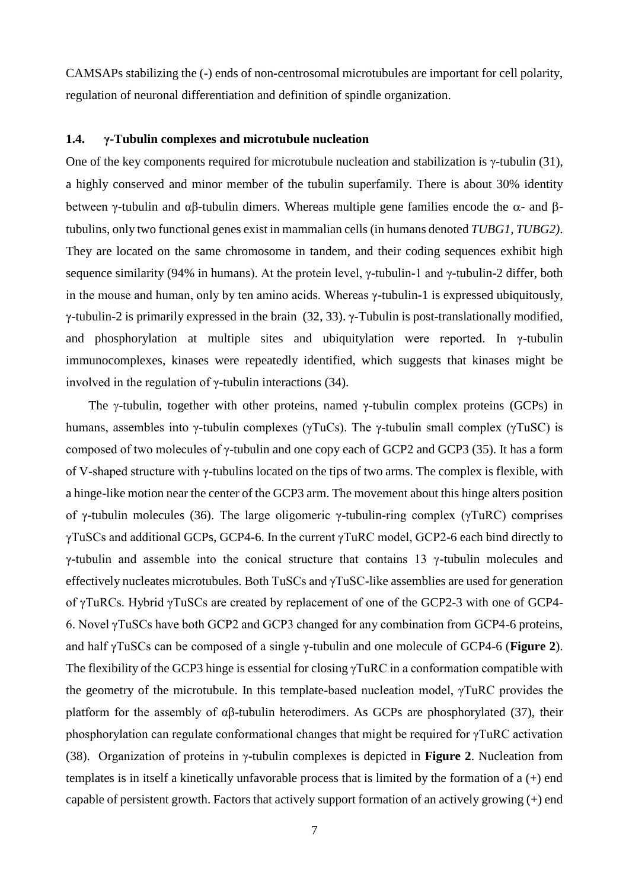CAMSAPs stabilizing the (-) ends of non-centrosomal microtubules are important for cell polarity, regulation of neuronal differentiation and definition of spindle organization.

#### **1.4. γ-Tubulin complexes and microtubule nucleation**

One of the key components required for microtubule nucleation and stabilization is  $\gamma$ -tubulin (31), a highly conserved and minor member of the tubulin superfamily. There is about 30% identity between γ-tubulin and αβ-tubulin dimers. Whereas multiple gene families encode the  $\alpha$ - and  $\beta$ tubulins, only two functional genes exist in mammalian cells (in humans denoted *TUBG1, TUBG2)*. They are located on the same chromosome in tandem, and their coding sequences exhibit high sequence similarity (94% in humans). At the protein level, γ-tubulin-1 and γ-tubulin-2 differ, both in the mouse and human, only by ten amino acids. Whereas γ-tubulin-1 is expressed ubiquitously, γ-tubulin-2 is primarily expressed in the brain (32, 33). γ-Tubulin is post-translationally modified, and phosphorylation at multiple sites and ubiquitylation were reported. In γ-tubulin immunocomplexes, kinases were repeatedly identified, which suggests that kinases might be involved in the regulation of γ-tubulin interactions (34).

The  $\gamma$ -tubulin, together with other proteins, named  $\gamma$ -tubulin complex proteins (GCPs) in humans, assembles into γ-tubulin complexes (γTuCs). The γ-tubulin small complex (γTuSC) is composed of two molecules of γ-tubulin and one copy each of GCP2 and GCP3 (35). It has a form of V-shaped structure with γ-tubulins located on the tips of two arms. The complex is flexible, with a hinge-like motion near the center of the GCP3 arm. The movement about this hinge alters position of γ-tubulin molecules (36). The large oligomeric γ-tubulin-ring complex (γTuRC) comprises γTuSCs and additional GCPs, GCP4-6. In the current γTuRC model, GCP2-6 each bind directly to γ-tubulin and assemble into the conical structure that contains 13 γ-tubulin molecules and effectively nucleates microtubules. Both TuSCs and γTuSC-like assemblies are used for generation of γTuRCs. Hybrid γTuSCs are created by replacement of one of the GCP2-3 with one of GCP4- 6. Novel γTuSCs have both GCP2 and GCP3 changed for any combination from GCP4-6 proteins, and half γTuSCs can be composed of a single γ-tubulin and one molecule of GCP4-6 (**Figure 2**). The flexibility of the GCP3 hinge is essential for closing γTuRC in a conformation compatible with the geometry of the microtubule. In this template-based nucleation model, γTuRC provides the platform for the assembly of  $\alpha\beta$ -tubulin heterodimers. As GCPs are phosphorylated (37), their phosphorylation can regulate conformational changes that might be required for γTuRC activation (38). Organization of proteins in γ-tubulin complexes is depicted in **Figure 2**. Nucleation from templates is in itself a kinetically unfavorable process that is limited by the formation of a (+) end capable of persistent growth. Factors that actively support formation of an actively growing (+) end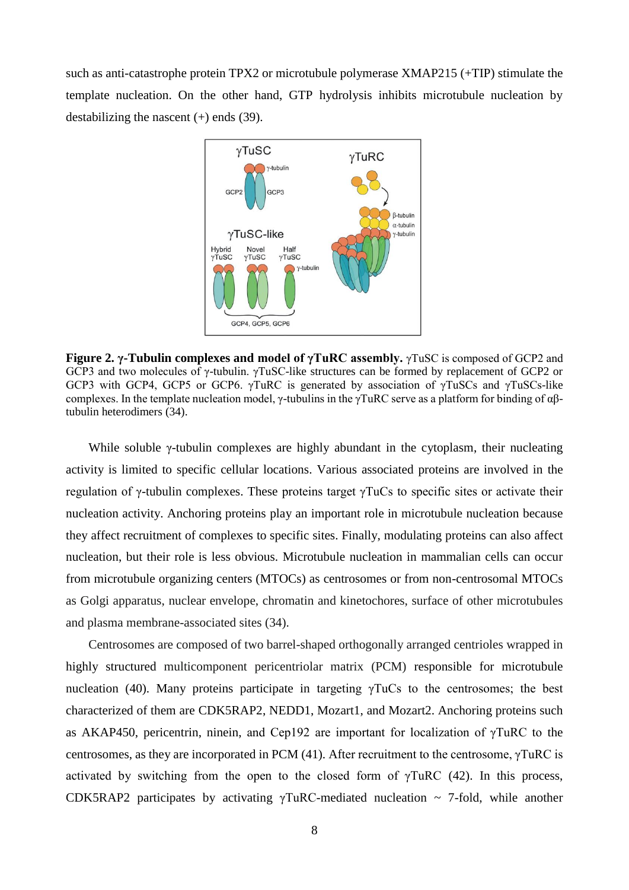such as anti-catastrophe protein TPX2 or microtubule polymerase XMAP215 (+TIP) stimulate the template nucleation. On the other hand, GTP hydrolysis inhibits microtubule nucleation by destabilizing the nascent  $(+)$  ends  $(39)$ .



**Figure 2. γ-Tubulin complexes and model of γTuRC assembly.** γTuSC is composed of GCP2 and GCP3 and two molecules of γ-tubulin. γTuSC-like structures can be formed by replacement of GCP2 or GCP3 with GCP4, GCP5 or GCP6. γTuRC is generated by association of γTuSCs and γTuSCs-like complexes. In the template nucleation model, γ-tubulins in the γTuRC serve as a platform for binding of αβtubulin heterodimers (34).

While soluble γ-tubulin complexes are highly abundant in the cytoplasm, their nucleating activity is limited to specific cellular locations. Various associated proteins are involved in the regulation of γ-tubulin complexes. These proteins target γTuCs to specific sites or activate their nucleation activity. Anchoring proteins play an important role in microtubule nucleation because they affect recruitment of complexes to specific sites. Finally, modulating proteins can also affect nucleation, but their role is less obvious. Microtubule nucleation in mammalian cells can occur from microtubule organizing centers (MTOCs) as centrosomes or from non-centrosomal MTOCs as Golgi apparatus, nuclear envelope, chromatin and kinetochores, surface of other microtubules and plasma membrane-associated sites (34).

Centrosomes are composed of two barrel-shaped orthogonally arranged centrioles wrapped in highly structured multicomponent pericentriolar matrix (PCM) responsible for microtubule nucleation (40). Many proteins participate in targeting  $\gamma$ TuCs to the centrosomes; the best characterized of them are CDK5RAP2, NEDD1, Mozart1, and Mozart2. Anchoring proteins such as AKAP450, pericentrin, ninein, and Cep192 are important for localization of γTuRC to the centrosomes, as they are incorporated in PCM (41). After recruitment to the centrosome, γTuRC is activated by switching from the open to the closed form of  $\gamma \text{T} \text{uRC}$  (42). In this process, CDK5RAP2 participates by activating  $\gamma$ TuRC-mediated nucleation  $\sim$  7-fold, while another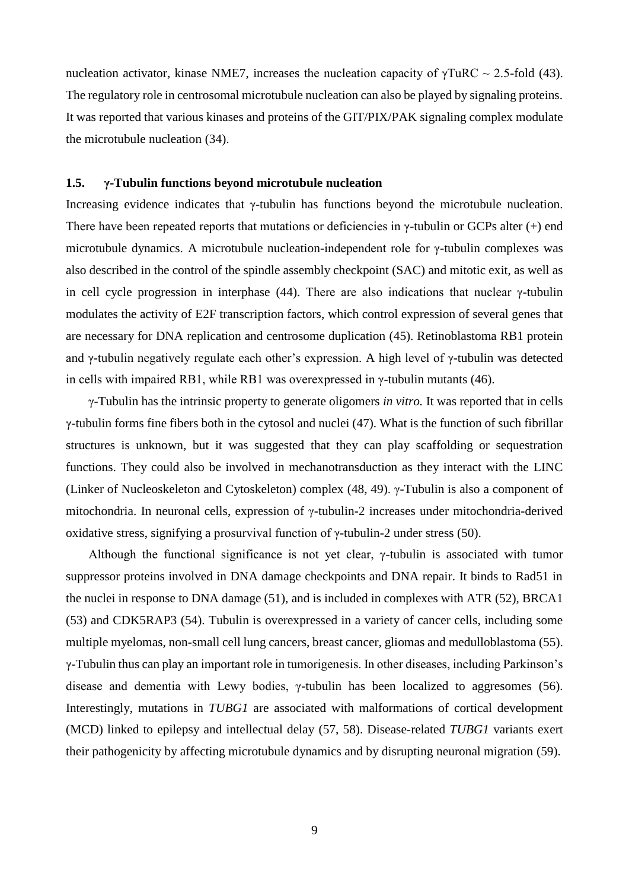nucleation activator, kinase NME7, increases the nucleation capacity of  $\gamma \text{T} \text{uRC} \sim 2.5\text{-fold}$  (43). The regulatory role in centrosomal microtubule nucleation can also be played by signaling proteins. It was reported that various kinases and proteins of the GIT/PIX/PAK signaling complex modulate the microtubule nucleation (34).

#### **1.5. γ-Tubulin functions beyond microtubule nucleation**

Increasing evidence indicates that γ-tubulin has functions beyond the microtubule nucleation. There have been repeated reports that mutations or deficiencies in  $\gamma$ -tubulin or GCPs alter (+) end microtubule dynamics. A microtubule nucleation-independent role for γ-tubulin complexes was also described in the control of the spindle assembly checkpoint (SAC) and mitotic exit, as well as in cell cycle progression in interphase (44). There are also indications that nuclear  $\gamma$ -tubulin modulates the activity of E2F transcription factors, which control expression of several genes that are necessary for DNA replication and centrosome duplication (45). Retinoblastoma RB1 protein and γ-tubulin negatively regulate each other's expression. A high level of γ-tubulin was detected in cells with impaired RB1, while RB1 was overexpressed in γ-tubulin mutants (46).

γ-Tubulin has the intrinsic property to generate oligomers *in vitro.* It was reported that in cells γ-tubulin forms fine fibers both in the cytosol and nuclei (47). What is the function of such fibrillar structures is unknown, but it was suggested that they can play scaffolding or sequestration functions. They could also be involved in mechanotransduction as they interact with the LINC (Linker of Nucleoskeleton and Cytoskeleton) complex (48, 49). γ-Tubulin is also a component of mitochondria. In neuronal cells, expression of γ-tubulin-2 increases under mitochondria-derived oxidative stress, signifying a prosurvival function of γ-tubulin-2 under stress (50).

Although the functional significance is not yet clear, γ-tubulin is associated with tumor suppressor proteins involved in DNA damage checkpoints and DNA repair. It binds to Rad51 in the nuclei in response to DNA damage (51), and is included in complexes with ATR (52), BRCA1 (53) and CDK5RAP3 (54). Tubulin is overexpressed in a variety of cancer cells, including some multiple myelomas, non-small cell lung cancers, breast cancer, gliomas and medulloblastoma (55). γ-Tubulin thus can play an important role in tumorigenesis. In other diseases, including Parkinson's disease and dementia with Lewy bodies, γ-tubulin has been localized to aggresomes (56). Interestingly, mutations in *TUBG1* are associated with malformations of cortical development (MCD) linked to epilepsy and intellectual delay (57, 58). Disease-related *TUBG1* variants exert their pathogenicity by affecting microtubule dynamics and by disrupting neuronal migration (59).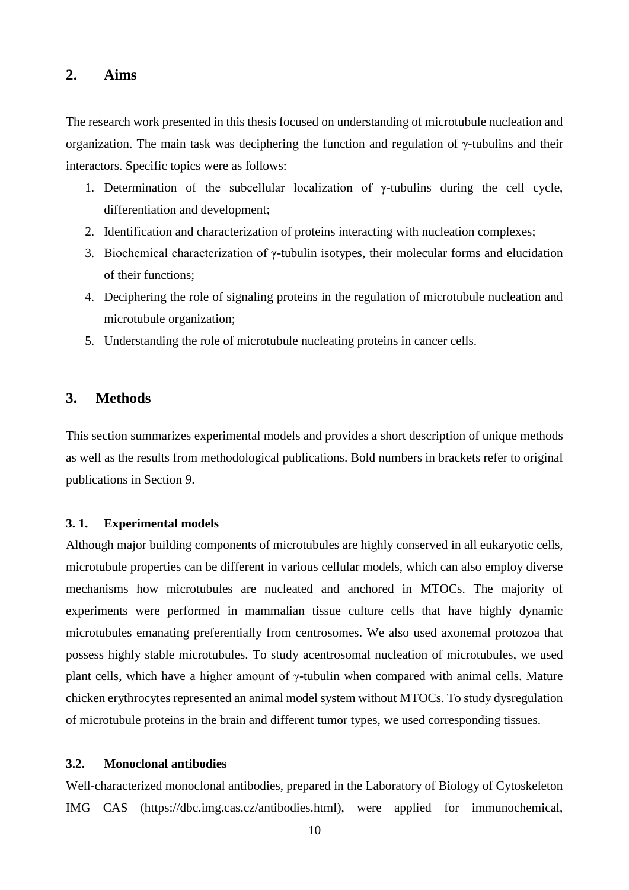# **2. Aims**

The research work presented in this thesis focused on understanding of microtubule nucleation and organization. The main task was deciphering the function and regulation of γ-tubulins and their interactors. Specific topics were as follows:

- 1. Determination of the subcellular localization of γ-tubulins during the cell cycle, differentiation and development;
- 2. Identification and characterization of proteins interacting with nucleation complexes;
- 3. Biochemical characterization of γ-tubulin isotypes, their molecular forms and elucidation of their functions;
- 4. Deciphering the role of signaling proteins in the regulation of microtubule nucleation and microtubule organization;
- 5. Understanding the role of microtubule nucleating proteins in cancer cells.

# **3. Methods**

This section summarizes experimental models and provides a short description of unique methods as well as the results from methodological publications. Bold numbers in brackets refer to original publications in Section 9.

#### **3. 1. Experimental models**

Although major building components of microtubules are highly conserved in all eukaryotic cells, microtubule properties can be different in various cellular models, which can also employ diverse mechanisms how microtubules are nucleated and anchored in MTOCs. The majority of experiments were performed in mammalian tissue culture cells that have highly dynamic microtubules emanating preferentially from centrosomes. We also used axonemal protozoa that possess highly stable microtubules. To study acentrosomal nucleation of microtubules, we used plant cells, which have a higher amount of γ-tubulin when compared with animal cells. Mature chicken erythrocytes represented an animal model system without MTOCs. To study dysregulation of microtubule proteins in the brain and different tumor types, we used corresponding tissues.

# **3.2. Monoclonal antibodies**

Well-characterized monoclonal antibodies, prepared in the Laboratory of Biology of Cytoskeleton IMG CAS [\(https://dbc.img.cas.cz/antibodies.html\)](https://dbc.img.cas.cz/antibodies.html), were applied for immunochemical,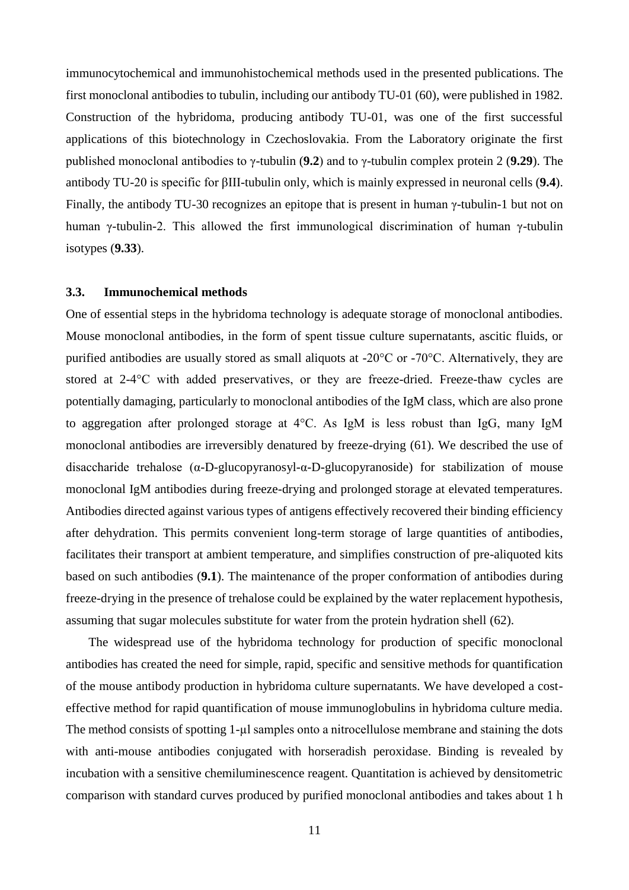immunocytochemical and immunohistochemical methods used in the presented publications. The first monoclonal antibodies to tubulin, including our antibody TU-01 (60), were published in 1982. Construction of the hybridoma, producing antibody TU-01, was one of the first successful applications of this biotechnology in Czechoslovakia. From the Laboratory originate the first published monoclonal antibodies to γ-tubulin (**9.2**) and to γ-tubulin complex protein 2 (**9.29**). The antibody TU-20 is specific for βIII-tubulin only, which is mainly expressed in neuronal cells (**9.4**). Finally, the antibody TU-30 recognizes an epitope that is present in human γ-tubulin-1 but not on human γ-tubulin-2. This allowed the first immunological discrimination of human γ-tubulin isotypes (**9.33**).

#### **3.3. Immunochemical methods**

One of essential steps in the hybridoma technology is adequate storage of monoclonal antibodies. Mouse monoclonal antibodies, in the form of spent tissue culture supernatants, ascitic fluids, or purified antibodies are usually stored as small aliquots at -20°C or -70°C. Alternatively, they are stored at 2-4°C with added preservatives, or they are freeze-dried. Freeze-thaw cycles are potentially damaging, particularly to monoclonal antibodies of the IgM class, which are also prone to aggregation after prolonged storage at 4°C. As IgM is less robust than IgG, many IgM monoclonal antibodies are irreversibly denatured by freeze-drying (61). We described the use of disaccharide trehalose (α-D-glucopyranosyl-α-D-glucopyranoside) for stabilization of mouse monoclonal IgM antibodies during freeze-drying and prolonged storage at elevated temperatures. Antibodies directed against various types of antigens effectively recovered their binding efficiency after dehydration. This permits convenient long-term storage of large quantities of antibodies, facilitates their transport at ambient temperature, and simplifies construction of pre-aliquoted kits based on such antibodies (**9.1**). The maintenance of the proper conformation of antibodies during freeze-drying in the presence of trehalose could be explained by the water replacement hypothesis, assuming that sugar molecules substitute for water from the protein hydration shell (62).

The widespread use of the hybridoma technology for production of specific monoclonal antibodies has created the need for simple, rapid, specific and sensitive methods for quantification of the mouse antibody production in hybridoma culture supernatants. We have developed a costeffective method for rapid quantification of mouse immunoglobulins in hybridoma culture media. The method consists of spotting 1-µl samples onto a nitrocellulose membrane and staining the dots with anti-mouse antibodies conjugated with horseradish peroxidase. Binding is revealed by incubation with a sensitive chemiluminescence reagent. Quantitation is achieved by densitometric comparison with standard curves produced by purified monoclonal antibodies and takes about 1 h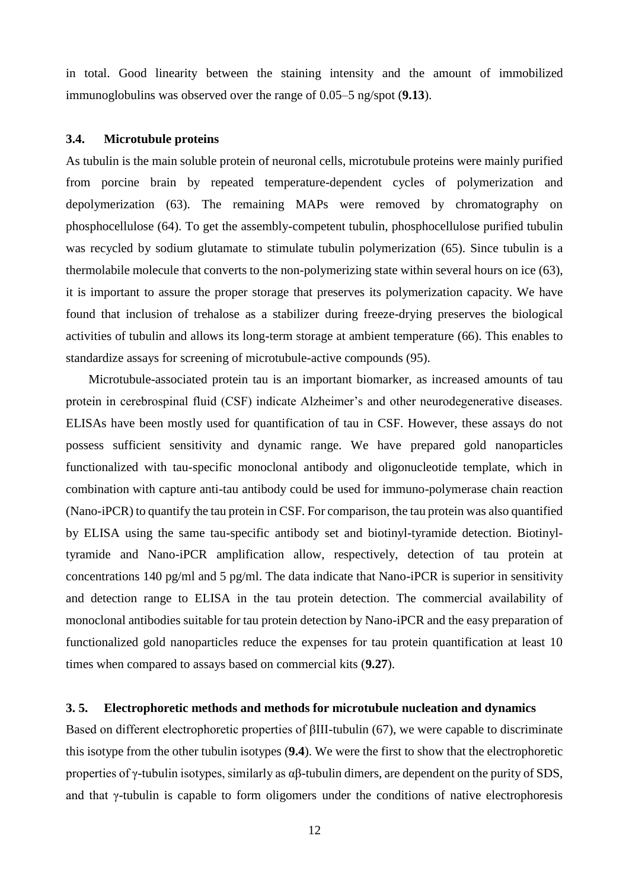in total. Good linearity between the staining intensity and the amount of immobilized immunoglobulins was observed over the range of 0.05–5 ng/spot (**9.13**).

#### **3.4. Microtubule proteins**

As tubulin is the main soluble protein of neuronal cells, microtubule proteins were mainly purified from porcine brain by repeated temperature-dependent cycles of polymerization and depolymerization (63). The remaining MAPs were removed by chromatography on phosphocellulose (64). To get the assembly-competent tubulin, phosphocellulose purified tubulin was recycled by sodium glutamate to stimulate tubulin polymerization (65). Since tubulin is a thermolabile molecule that converts to the non-polymerizing state within several hours on ice (63), it is important to assure the proper storage that preserves its polymerization capacity. We have found that inclusion of trehalose as a stabilizer during freeze-drying preserves the biological activities of tubulin and allows its long-term storage at ambient temperature (66). This enables to standardize assays for screening of microtubule-active compounds (95).

Microtubule-associated protein tau is an important biomarker, as increased amounts of tau protein in cerebrospinal fluid (CSF) indicate Alzheimer's and other neurodegenerative diseases. ELISAs have been mostly used for quantification of tau in CSF. However, these assays do not possess sufficient sensitivity and dynamic range. We have prepared gold nanoparticles functionalized with tau-specific monoclonal antibody and oligonucleotide template, which in combination with capture anti-tau antibody could be used for immuno-polymerase chain reaction (Nano-iPCR) to quantify the tau protein in CSF. For comparison, the tau protein was also quantified by ELISA using the same tau-specific antibody set and biotinyl-tyramide detection. Biotinyltyramide and Nano-iPCR amplification allow, respectively, detection of tau protein at concentrations 140 pg/ml and 5 pg/ml. The data indicate that Nano-iPCR is superior in sensitivity and detection range to ELISA in the tau protein detection. The commercial availability of monoclonal antibodies suitable for tau protein detection by Nano-iPCR and the easy preparation of functionalized gold nanoparticles reduce the expenses for tau protein quantification at least 10 times when compared to assays based on commercial kits (**9.27**).

#### **3. 5. Electrophoretic methods and methods for microtubule nucleation and dynamics**

Based on different electrophoretic properties of βIII-tubulin (67), we were capable to discriminate this isotype from the other tubulin isotypes (**9.4**). We were the first to show that the electrophoretic properties of  $\gamma$ -tubulin isotypes, similarly as  $\alpha\beta$ -tubulin dimers, are dependent on the purity of SDS, and that  $\gamma$ -tubulin is capable to form oligomers under the conditions of native electrophoresis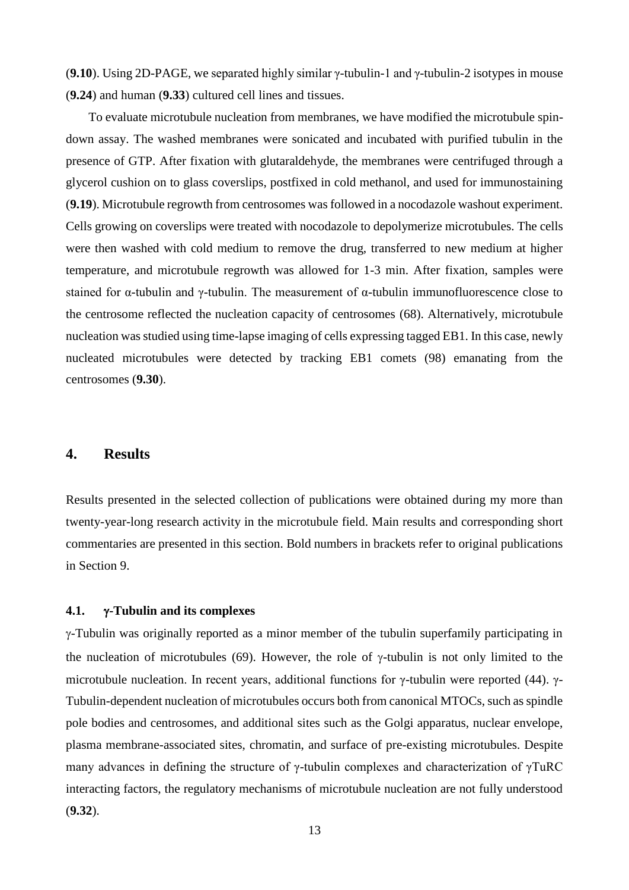(**9.10**). Using 2D-PAGE, we separated highly similar γ-tubulin-1 and γ-tubulin-2 isotypes in mouse (**9.24**) and human (**9.33**) cultured cell lines and tissues.

To evaluate microtubule nucleation from membranes, we have modified the microtubule spindown assay. The washed membranes were sonicated and incubated with purified tubulin in the presence of GTP. After fixation with glutaraldehyde, the membranes were centrifuged through a glycerol cushion on to glass coverslips, postfixed in cold methanol, and used for immunostaining (**9.19**). Microtubule regrowth from centrosomes was followed in a nocodazole washout experiment. Cells growing on coverslips were treated with nocodazole to depolymerize microtubules. The cells were then washed with cold medium to remove the drug, transferred to new medium at higher temperature, and microtubule regrowth was allowed for 1-3 min. After fixation, samples were stained for α-tubulin and γ-tubulin. The measurement of α-tubulin immunofluorescence close to the centrosome reflected the nucleation capacity of centrosomes (68). Alternatively, microtubule nucleation was studied using time-lapse imaging of cells expressing tagged EB1. In this case, newly nucleated microtubules were detected by tracking EB1 comets (98) emanating from the centrosomes (**9.30**).

# **4. Results**

Results presented in the selected collection of publications were obtained during my more than twenty-year-long research activity in the microtubule field. Main results and corresponding short commentaries are presented in this section. Bold numbers in brackets refer to original publications in Section 9.

#### **4.1. -Tubulin and its complexes**

 $\gamma$ -Tubulin was originally reported as a minor member of the tubulin superfamily participating in the nucleation of microtubules (69). However, the role of  $\gamma$ -tubulin is not only limited to the microtubule nucleation. In recent years, additional functions for γ-tubulin were reported (44). γ-Tubulin-dependent nucleation of microtubules occurs both from canonical MTOCs, such as spindle pole bodies and centrosomes, and additional sites such as the Golgi apparatus, nuclear envelope, plasma membrane-associated sites, chromatin, and surface of pre-existing microtubules. Despite many advances in defining the structure of γ-tubulin complexes and characterization of γTuRC interacting factors, the regulatory mechanisms of microtubule nucleation are not fully understood (**9.32**).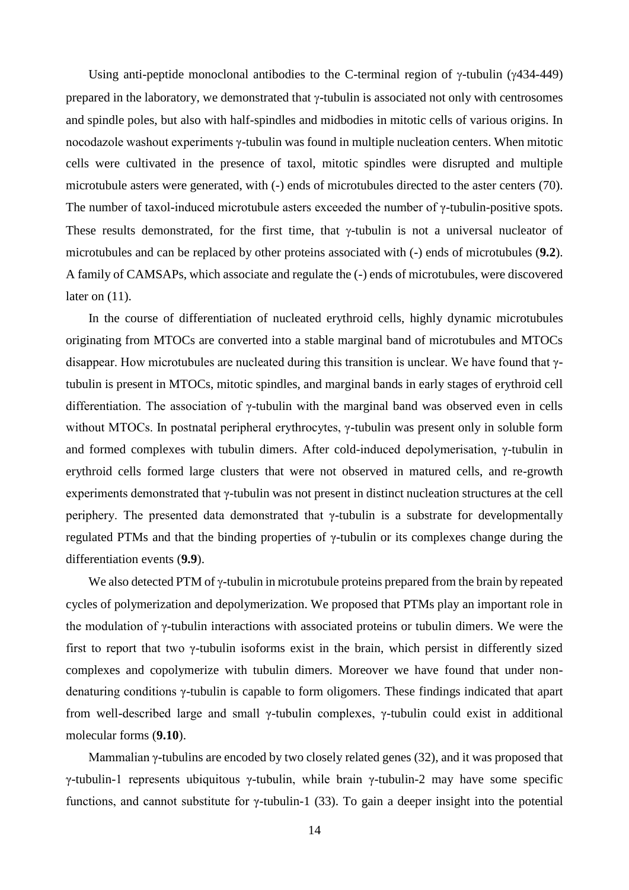Using anti-peptide monoclonal antibodies to the C-terminal region of  $\gamma$ -tubulin ( $\gamma$ 434-449) prepared in the laboratory, we demonstrated that  $\gamma$ -tubulin is associated not only with centrosomes and spindle poles, but also with half-spindles and midbodies in mitotic cells of various origins. In nocodazole washout experiments γ-tubulin was found in multiple nucleation centers. When mitotic cells were cultivated in the presence of taxol, mitotic spindles were disrupted and multiple microtubule asters were generated, with (-) ends of microtubules directed to the aster centers (70). The number of taxol-induced microtubule asters exceeded the number of γ-tubulin-positive spots. These results demonstrated, for the first time, that  $\gamma$ -tubulin is not a universal nucleator of microtubules and can be replaced by other proteins associated with (-) ends of microtubules (**9.2**). A family of CAMSAPs, which associate and regulate the (-) ends of microtubules, were discovered later on (11).

In the course of differentiation of nucleated erythroid cells, highly dynamic microtubules originating from MTOCs are converted into a stable marginal band of microtubules and MTOCs disappear. How microtubules are nucleated during this transition is unclear. We have found that γtubulin is present in MTOCs, mitotic spindles, and marginal bands in early stages of erythroid cell differentiation. The association of γ-tubulin with the marginal band was observed even in cells without MTOCs. In postnatal peripheral erythrocytes, γ-tubulin was present only in soluble form and formed complexes with tubulin dimers. After cold-induced depolymerisation, γ-tubulin in erythroid cells formed large clusters that were not observed in matured cells, and re-growth experiments demonstrated that γ-tubulin was not present in distinct nucleation structures at the cell periphery. The presented data demonstrated that γ-tubulin is a substrate for developmentally regulated PTMs and that the binding properties of γ-tubulin or its complexes change during the differentiation events (**9.9**).

We also detected PTM of  $\gamma$ -tubulin in microtubule proteins prepared from the brain by repeated cycles of polymerization and depolymerization. We proposed that PTMs play an important role in the modulation of γ-tubulin interactions with associated proteins or tubulin dimers. We were the first to report that two γ-tubulin isoforms exist in the brain, which persist in differently sized complexes and copolymerize with tubulin dimers. Moreover we have found that under nondenaturing conditions γ-tubulin is capable to form oligomers. These findings indicated that apart from well-described large and small γ-tubulin complexes, γ-tubulin could exist in additional molecular forms (**9.10**).

Mammalian γ-tubulins are encoded by two closely related genes (32), and it was proposed that γ-tubulin-1 represents ubiquitous γ-tubulin, while brain γ-tubulin-2 may have some specific functions, and cannot substitute for γ-tubulin-1 (33). To gain a deeper insight into the potential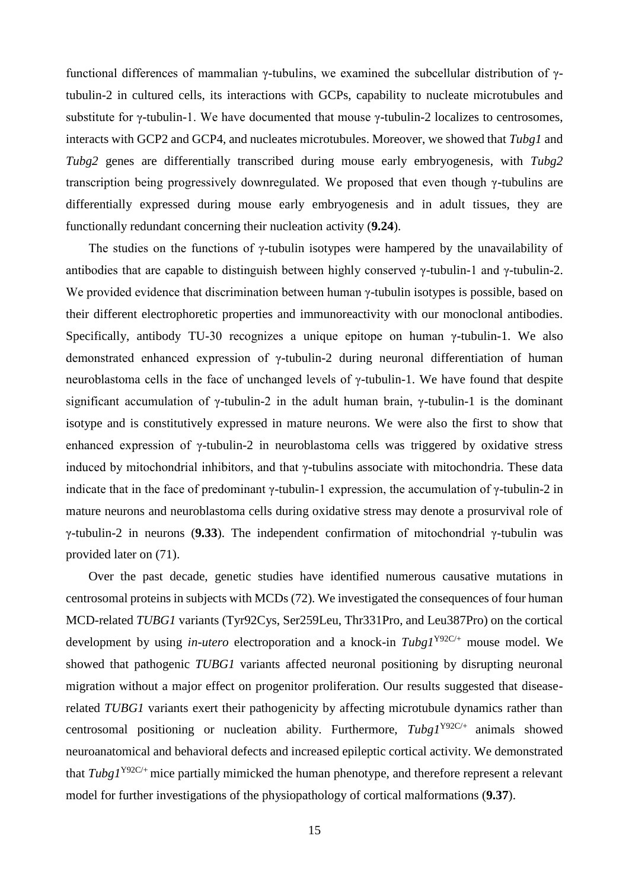functional differences of mammalian γ-tubulins, we examined the subcellular distribution of γtubulin-2 in cultured cells, its interactions with GCPs, capability to nucleate microtubules and substitute for  $\gamma$ -tubulin-1. We have documented that mouse  $\gamma$ -tubulin-2 localizes to centrosomes, interacts with GCP2 and GCP4, and nucleates microtubules. Moreover, we showed that *Tubg1* and *Tubg2* genes are differentially transcribed during mouse early embryogenesis, with *Tubg2* transcription being progressively downregulated. We proposed that even though γ-tubulins are differentially expressed during mouse early embryogenesis and in adult tissues, they are functionally redundant concerning their nucleation activity (**9.24**).

The studies on the functions of  $\gamma$ -tubulin isotypes were hampered by the unavailability of antibodies that are capable to distinguish between highly conserved  $\gamma$ -tubulin-1 and  $\gamma$ -tubulin-2. We provided evidence that discrimination between human  $\gamma$ -tubulin isotypes is possible, based on their different electrophoretic properties and immunoreactivity with our monoclonal antibodies. Specifically, antibody TU-30 recognizes a unique epitope on human  $\gamma$ -tubulin-1. We also demonstrated enhanced expression of γ-tubulin-2 during neuronal differentiation of human neuroblastoma cells in the face of unchanged levels of γ-tubulin-1. We have found that despite significant accumulation of  $\gamma$ -tubulin-2 in the adult human brain,  $\gamma$ -tubulin-1 is the dominant isotype and is constitutively expressed in mature neurons. We were also the first to show that enhanced expression of γ-tubulin-2 in neuroblastoma cells was triggered by oxidative stress induced by mitochondrial inhibitors, and that γ-tubulins associate with mitochondria. These data indicate that in the face of predominant  $\gamma$ -tubulin-1 expression, the accumulation of  $\gamma$ -tubulin-2 in mature neurons and neuroblastoma cells during oxidative stress may denote a prosurvival role of γ-tubulin-2 in neurons (**9.33**). The independent confirmation of mitochondrial γ-tubulin was provided later on (71).

Over the past decade, genetic studies have identified numerous causative mutations in centrosomal proteins in subjects with MCDs (72). We investigated the consequences of four human MCD-related *TUBG1* variants (Tyr92Cys, Ser259Leu, Thr331Pro, and Leu387Pro) on the cortical development by using *in-utero* electroporation and a knock-in *Tubg1*Y92C/+ mouse model. We showed that pathogenic *TUBG1* variants affected neuronal positioning by disrupting neuronal migration without a major effect on progenitor proliferation. Our results suggested that diseaserelated *TUBG1* variants exert their pathogenicity by affecting microtubule dynamics rather than centrosomal positioning or nucleation ability. Furthermore, *Tubg1*Y92C/+ animals showed neuroanatomical and behavioral defects and increased epileptic cortical activity. We demonstrated that *Tubg1*Y92C/+ mice partially mimicked the human phenotype, and therefore represent a relevant model for further investigations of the physiopathology of cortical malformations (**9.37**).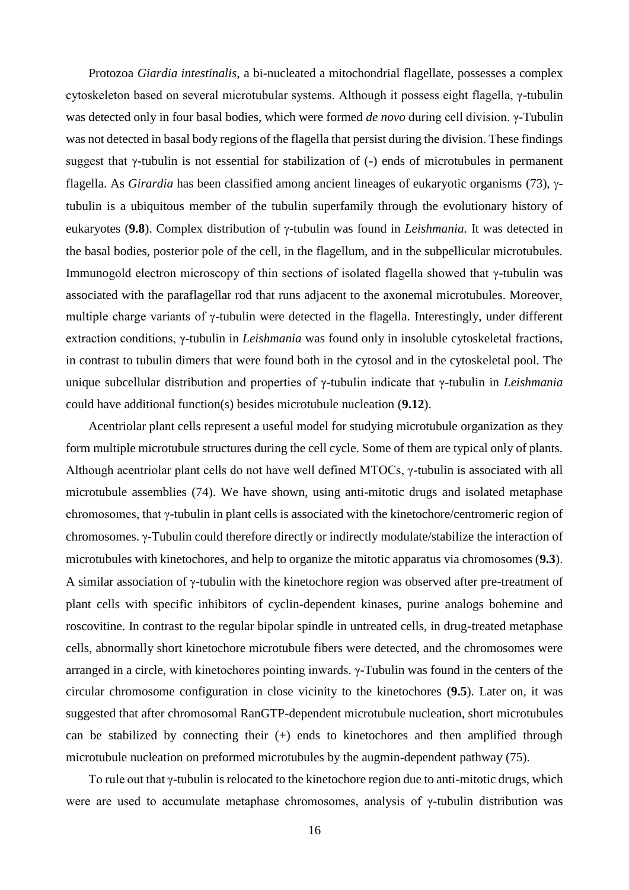Protozoa *Giardia intestinalis*, a bi-nucleated a mitochondrial flagellate, possesses a complex cytoskeleton based on several microtubular systems. Although it possess eight flagella, γ-tubulin was detected only in four basal bodies, which were formed *de novo* during cell division. γ-Tubulin was not detected in basal body regions of the flagella that persist during the division. These findings suggest that γ-tubulin is not essential for stabilization of (-) ends of microtubules in permanent flagella. As *Girardia* has been classified among ancient lineages of eukaryotic organisms (73),  $\gamma$ tubulin is a ubiquitous member of the tubulin superfamily through the evolutionary history of eukaryotes (9.8). Complex distribution of  $\gamma$ -tubulin was found in *Leishmania*. It was detected in the basal bodies, posterior pole of the cell, in the flagellum, and in the subpellicular microtubules. Immunogold electron microscopy of thin sections of isolated flagella showed that γ-tubulin was associated with the paraflagellar rod that runs adjacent to the axonemal microtubules. Moreover, multiple charge variants of γ-tubulin were detected in the flagella. Interestingly, under different extraction conditions, γ-tubulin in *Leishmania* was found only in insoluble cytoskeletal fractions, in contrast to tubulin dimers that were found both in the cytosol and in the cytoskeletal pool. The unique subcellular distribution and properties of γ-tubulin indicate that γ-tubulin in *Leishmania* could have additional function(s) besides microtubule nucleation (**9.12**).

Acentriolar plant cells represent a useful model for studying microtubule organization as they form multiple microtubule structures during the cell cycle. Some of them are typical only of plants. Although acentriolar plant cells do not have well defined MTOCs, γ-tubulin is associated with all microtubule assemblies (74). We have shown, using anti-mitotic drugs and isolated metaphase chromosomes, that γ-tubulin in plant cells is associated with the kinetochore/centromeric region of chromosomes.  $\gamma$ -Tubulin could therefore directly or indirectly modulate/stabilize the interaction of microtubules with kinetochores, and help to organize the mitotic apparatus via chromosomes (**9.3**). A similar association of  $\gamma$ -tubulin with the kinetochore region was observed after pre-treatment of plant cells with specific inhibitors of cyclin-dependent kinases, purine analogs bohemine and roscovitine. In contrast to the regular bipolar spindle in untreated cells, in drug-treated metaphase cells, abnormally short kinetochore microtubule fibers were detected, and the chromosomes were arranged in a circle, with kinetochores pointing inwards. γ-Tubulin was found in the centers of the circular chromosome configuration in close vicinity to the kinetochores (**9.5**). Later on, it was suggested that after chromosomal RanGTP-dependent microtubule nucleation, short microtubules can be stabilized by connecting their (+) ends to kinetochores and then amplified through microtubule nucleation on preformed microtubules by the augmin-dependent pathway (75).

To rule out that γ-tubulin is relocated to the kinetochore region due to anti-mitotic drugs, which were are used to accumulate metaphase chromosomes, analysis of γ-tubulin distribution was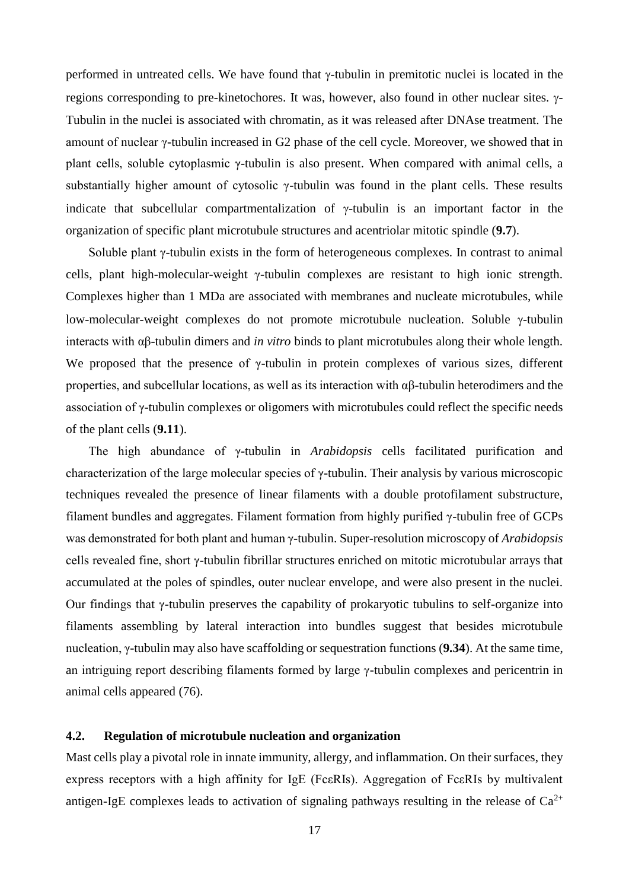performed in untreated cells. We have found that  $\gamma$ -tubulin in premitotic nuclei is located in the regions corresponding to pre-kinetochores. It was, however, also found in other nuclear sites.  $\gamma$ -Tubulin in the nuclei is associated with chromatin, as it was released after DNAse treatment. The amount of nuclear γ-tubulin increased in G2 phase of the cell cycle. Moreover, we showed that in plant cells, soluble cytoplasmic γ-tubulin is also present. When compared with animal cells, a substantially higher amount of cytosolic γ-tubulin was found in the plant cells. These results indicate that subcellular compartmentalization of  $\gamma$ -tubulin is an important factor in the organization of specific plant microtubule structures and acentriolar mitotic spindle (**9.7**).

Soluble plant γ-tubulin exists in the form of heterogeneous complexes. In contrast to animal cells, plant high-molecular-weight γ-tubulin complexes are resistant to high ionic strength. Complexes higher than 1 MDa are associated with membranes and nucleate microtubules, while low-molecular-weight complexes do not promote microtubule nucleation. Soluble  $\gamma$ -tubulin interacts with αβ-tubulin dimers and *in vitro* binds to plant microtubules along their whole length. We proposed that the presence of  $\gamma$ -tubulin in protein complexes of various sizes, different properties, and subcellular locations, as well as its interaction with αβ-tubulin heterodimers and the association of γ-tubulin complexes or oligomers with microtubules could reflect the specific needs of the plant cells (**9.11**).

The high abundance of γ-tubulin in *Arabidopsis* cells facilitated purification and characterization of the large molecular species of γ-tubulin. Their analysis by various microscopic techniques revealed the presence of linear filaments with a double protofilament substructure, filament bundles and aggregates. Filament formation from highly purified γ-tubulin free of GCPs was demonstrated for both plant and human γ-tubulin. Super-resolution microscopy of *Arabidopsis* cells revealed fine, short γ-tubulin fibrillar structures enriched on mitotic microtubular arrays that accumulated at the poles of spindles, outer nuclear envelope, and were also present in the nuclei. Our findings that γ-tubulin preserves the capability of prokaryotic tubulins to self-organize into filaments assembling by lateral interaction into bundles suggest that besides microtubule nucleation, γ-tubulin may also have scaffolding or sequestration functions (**9.34**). At the same time, an intriguing report describing filaments formed by large γ-tubulin complexes and pericentrin in animal cells appeared (76).

## **4.2. Regulation of microtubule nucleation and organization**

Mast cells play a pivotal role in innate immunity, allergy, and inflammation. On their surfaces, they express receptors with a high affinity for IgE (FcεRIs). Aggregation of FcεRIs by multivalent antigen-IgE complexes leads to activation of signaling pathways resulting in the release of  $Ca^{2+}$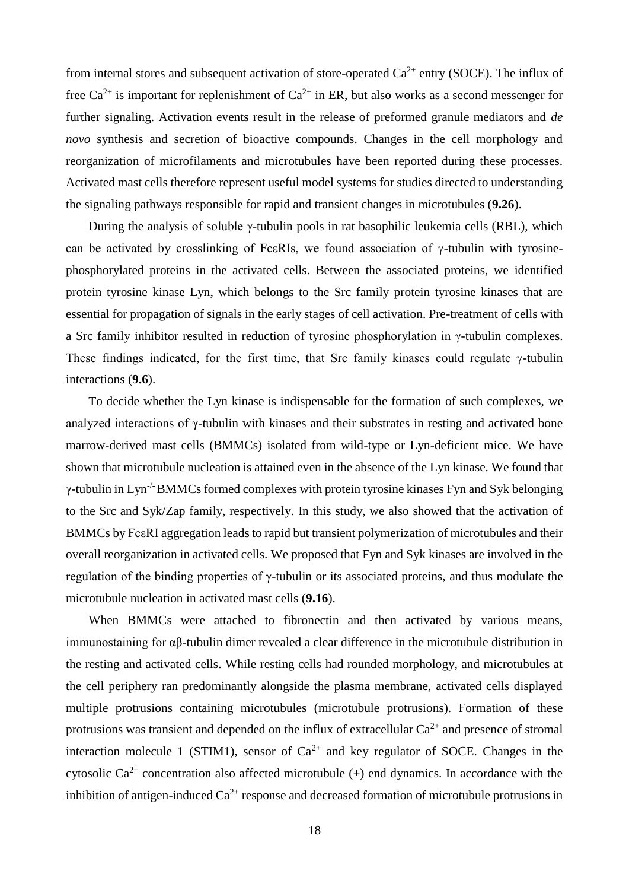from internal stores and subsequent activation of store-operated  $Ca^{2+}$  entry (SOCE). The influx of free  $Ca^{2+}$  is important for replenishment of  $Ca^{2+}$  in ER, but also works as a second messenger for further signaling. Activation events result in the release of preformed granule mediators and *de novo* synthesis and secretion of bioactive compounds. Changes in the cell morphology and reorganization of microfilaments and microtubules have been reported during these processes. Activated mast cells therefore represent useful model systems for studies directed to understanding the signaling pathways responsible for rapid and transient changes in microtubules (**9.26**).

During the analysis of soluble γ-tubulin pools in rat basophilic leukemia cells (RBL), which can be activated by crosslinking of FceRIs, we found association of  $\gamma$ -tubulin with tyrosinephosphorylated proteins in the activated cells. Between the associated proteins, we identified protein tyrosine kinase Lyn, which belongs to the Src family protein tyrosine kinases that are essential for propagation of signals in the early stages of cell activation. Pre-treatment of cells with a Src family inhibitor resulted in reduction of tyrosine phosphorylation in γ-tubulin complexes. These findings indicated, for the first time, that Src family kinases could regulate γ-tubulin interactions (**9.6**).

To decide whether the Lyn kinase is indispensable for the formation of such complexes, we analyzed interactions of γ-tubulin with kinases and their substrates in resting and activated bone marrow-derived mast cells (BMMCs) isolated from wild-type or Lyn-deficient mice. We have shown that microtubule nucleation is attained even in the absence of the Lyn kinase. We found that γ-tubulin in Lyn-/-BMMCs formed complexes with protein tyrosine kinases Fyn and Syk belonging to the Src and Syk/Zap family, respectively. In this study, we also showed that the activation of BMMCs by Fc $\epsilon$ RI aggregation leads to rapid but transient polymerization of microtubules and their overall reorganization in activated cells. We proposed that Fyn and Syk kinases are involved in the regulation of the binding properties of γ-tubulin or its associated proteins, and thus modulate the microtubule nucleation in activated mast cells (**9.16**).

When BMMCs were attached to fibronectin and then activated by various means, immunostaining for αβ-tubulin dimer revealed a clear difference in the microtubule distribution in the resting and activated cells. While resting cells had rounded morphology, and microtubules at the cell periphery ran predominantly alongside the plasma membrane, activated cells displayed multiple protrusions containing microtubules (microtubule protrusions). Formation of these protrusions was transient and depended on the influx of extracellular  $Ca^{2+}$  and presence of stromal interaction molecule 1 (STIM1), sensor of  $Ca^{2+}$  and key regulator of SOCE. Changes in the cytosolic  $Ca^{2+}$  concentration also affected microtubule (+) end dynamics. In accordance with the inhibition of antigen-induced  $Ca^{2+}$  response and decreased formation of microtubule protrusions in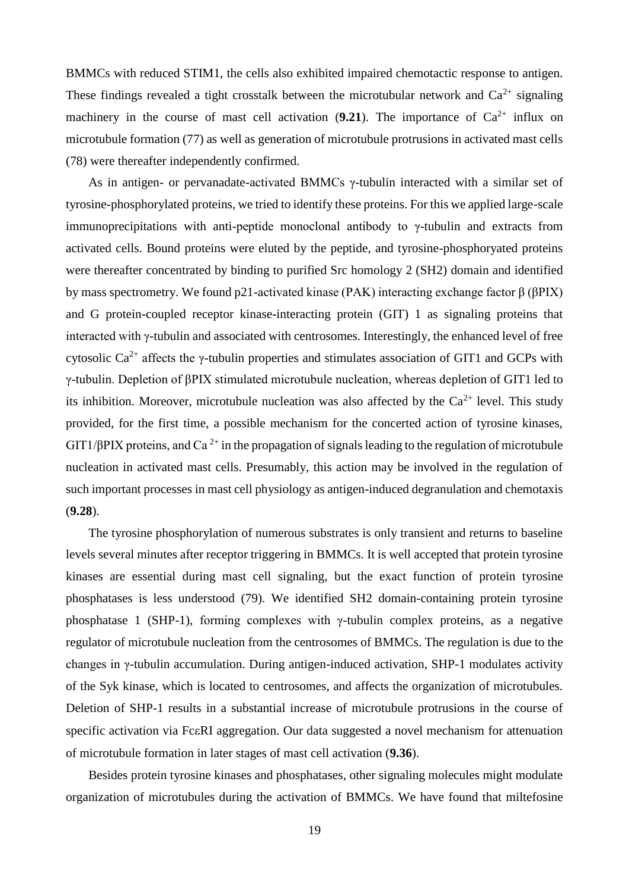BMMCs with reduced STIM1, the cells also exhibited impaired chemotactic response to antigen. These findings revealed a tight crosstalk between the microtubular network and  $Ca^{2+}$  signaling machinery in the course of mast cell activation  $(9.21)$ . The importance of  $Ca^{2+}$  influx on microtubule formation (77) as well as generation of microtubule protrusions in activated mast cells (78) were thereafter independently confirmed.

As in antigen- or pervanadate-activated BMMCs γ-tubulin interacted with a similar set of tyrosine-phosphorylated proteins, we tried to identify these proteins. For this we applied large-scale immunoprecipitations with anti-peptide monoclonal antibody to γ-tubulin and extracts from activated cells. Bound proteins were eluted by the peptide, and tyrosine-phosphoryated proteins were thereafter concentrated by binding to purified Src homology 2 (SH2) domain and identified by mass spectrometry. We found p21-activated kinase (PAK) interacting exchange factor β (βPIX) and G protein-coupled receptor kinase-interacting protein (GIT) 1 as signaling proteins that interacted with γ-tubulin and associated with centrosomes. Interestingly, the enhanced level of free cytosolic Ca<sup>2+</sup> affects the γ-tubulin properties and stimulates association of GIT1 and GCPs with γ-tubulin. Depletion of βPIX stimulated microtubule nucleation, whereas depletion of GIT1 led to its inhibition. Moreover, microtubule nucleation was also affected by the  $Ca^{2+}$  level. This study provided, for the first time, a possible mechanism for the concerted action of tyrosine kinases,  $GIT1/BPK$  proteins, and Ca<sup>2+</sup> in the propagation of signals leading to the regulation of microtubule nucleation in activated mast cells. Presumably, this action may be involved in the regulation of such important processes in mast cell physiology as antigen-induced degranulation and chemotaxis (**9.28**).

The tyrosine phosphorylation of numerous substrates is only transient and returns to baseline levels several minutes after receptor triggering in BMMCs. It is well accepted that protein tyrosine kinases are essential during mast cell signaling, but the exact function of protein tyrosine phosphatases is less understood (79). We identified SH2 domain-containing protein tyrosine phosphatase 1 (SHP-1), forming complexes with γ-tubulin complex proteins, as a negative regulator of microtubule nucleation from the centrosomes of BMMCs. The regulation is due to the changes in γ-tubulin accumulation. During antigen-induced activation, SHP-1 modulates activity of the Syk kinase, which is located to centrosomes, and affects the organization of microtubules. Deletion of SHP-1 results in a substantial increase of microtubule protrusions in the course of specific activation via Fc $\epsilon$ RI aggregation. Our data suggested a novel mechanism for attenuation of microtubule formation in later stages of mast cell activation (**9.36**).

Besides protein tyrosine kinases and phosphatases, other signaling molecules might modulate organization of microtubules during the activation of BMMCs. We have found that miltefosine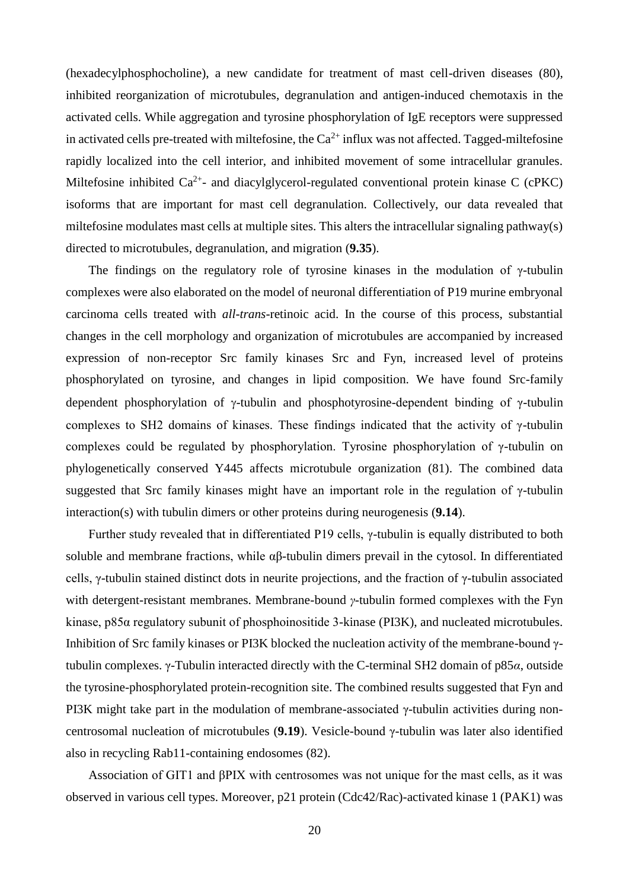(hexadecylphosphocholine), a new candidate for treatment of mast cell-driven diseases (80), inhibited reorganization of microtubules, degranulation and antigen-induced chemotaxis in the activated cells. While aggregation and tyrosine phosphorylation of IgE receptors were suppressed in activated cells pre-treated with miltefosine, the  $Ca^{2+}$  influx was not affected. Tagged-miltefosine rapidly localized into the cell interior, and inhibited movement of some intracellular granules. Miltefosine inhibited  $Ca^{2+}$ - and diacylglycerol-regulated conventional protein kinase C (cPKC) isoforms that are important for mast cell degranulation. Collectively, our data revealed that miltefosine modulates mast cells at multiple sites. This alters the intracellular signaling pathway(s) directed to microtubules, degranulation, and migration (**9.35**).

The findings on the regulatory role of tyrosine kinases in the modulation of  $\gamma$ -tubulin complexes were also elaborated on the model of neuronal differentiation of P19 murine embryonal carcinoma cells treated with *all-trans*-retinoic acid. In the course of this process, substantial changes in the cell morphology and organization of microtubules are accompanied by increased expression of non-receptor Src family kinases Src and Fyn, increased level of proteins phosphorylated on tyrosine, and changes in lipid composition. We have found Src-family dependent phosphorylation of  $\gamma$ -tubulin and phosphotyrosine-dependent binding of  $\gamma$ -tubulin complexes to SH2 domains of kinases. These findings indicated that the activity of γ-tubulin complexes could be regulated by phosphorylation. Tyrosine phosphorylation of γ-tubulin on phylogenetically conserved Y445 affects microtubule organization (81). The combined data suggested that Src family kinases might have an important role in the regulation of γ-tubulin interaction(s) with tubulin dimers or other proteins during neurogenesis (**9.14**).

Further study revealed that in differentiated P19 cells, γ-tubulin is equally distributed to both soluble and membrane fractions, while αβ-tubulin dimers prevail in the cytosol. In differentiated cells, γ-tubulin stained distinct dots in neurite projections, and the fraction of γ-tubulin associated with detergent-resistant membranes. Membrane-bound *γ*-tubulin formed complexes with the Fyn kinase, p85α regulatory subunit of phosphoinositide 3-kinase (PI3K), and nucleated microtubules. Inhibition of Src family kinases or PI3K blocked the nucleation activity of the membrane-bound γtubulin complexes. γ-Tubulin interacted directly with the C-terminal SH2 domain of p85*α*, outside the tyrosine-phosphorylated protein-recognition site. The combined results suggested that Fyn and PI3K might take part in the modulation of membrane-associated γ-tubulin activities during noncentrosomal nucleation of microtubules (**9.19**). Vesicle-bound γ-tubulin was later also identified also in recycling Rab11-containing endosomes (82).

Association of GIT1 and βPIX with centrosomes was not unique for the mast cells, as it was observed in various cell types. Moreover, p21 protein (Cdc42/Rac)-activated kinase 1 (PAK1) was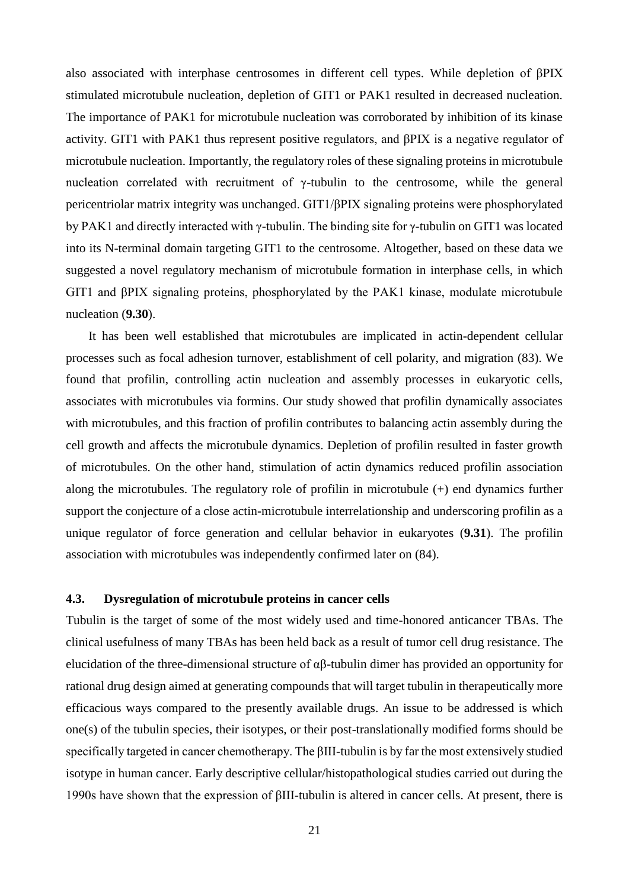also associated with interphase centrosomes in different cell types. While depletion of βPIX stimulated microtubule nucleation, depletion of GIT1 or PAK1 resulted in decreased nucleation. The importance of PAK1 for microtubule nucleation was corroborated by inhibition of its kinase activity. GIT1 with PAK1 thus represent positive regulators, and βPIX is a negative regulator of microtubule nucleation. Importantly, the regulatory roles of these signaling proteins in microtubule nucleation correlated with recruitment of γ-tubulin to the centrosome, while the general pericentriolar matrix integrity was unchanged. GIT1/βPIX signaling proteins were phosphorylated by PAK1 and directly interacted with γ-tubulin. The binding site for γ-tubulin on GIT1 was located into its N-terminal domain targeting GIT1 to the centrosome. Altogether, based on these data we suggested a novel regulatory mechanism of microtubule formation in interphase cells, in which GIT1 and βPIX signaling proteins, phosphorylated by the PAK1 kinase, modulate microtubule nucleation (**9.30**).

It has been well established that microtubules are implicated in actin-dependent cellular processes such as focal adhesion turnover, establishment of cell polarity, and migration (83). We found that profilin, controlling actin nucleation and assembly processes in eukaryotic cells, associates with microtubules via formins. Our study showed that profilin dynamically associates with microtubules, and this fraction of profilin contributes to balancing actin assembly during the cell growth and affects the microtubule dynamics. Depletion of profilin resulted in faster growth of microtubules. On the other hand, stimulation of actin dynamics reduced profilin association along the microtubules. The regulatory role of profilin in microtubule (+) end dynamics further support the conjecture of a close actin-microtubule interrelationship and underscoring profilin as a unique regulator of force generation and cellular behavior in eukaryotes (**9.31**). The profilin association with microtubules was independently confirmed later on (84).

# **4.3. Dysregulation of microtubule proteins in cancer cells**

Tubulin is the target of some of the most widely used and time-honored anticancer TBAs. The clinical usefulness of many TBAs has been held back as a result of tumor cell drug resistance. The elucidation of the three-dimensional structure of αβ-tubulin dimer has provided an opportunity for rational drug design aimed at generating compounds that will target tubulin in therapeutically more efficacious ways compared to the presently available drugs. An issue to be addressed is which one(s) of the tubulin species, their isotypes, or their post-translationally modified forms should be specifically targeted in cancer chemotherapy. The βIII-tubulin is by far the most extensively studied isotype in human cancer. Early descriptive cellular/histopathological studies carried out during the 1990s have shown that the expression of βIII-tubulin is altered in cancer cells. At present, there is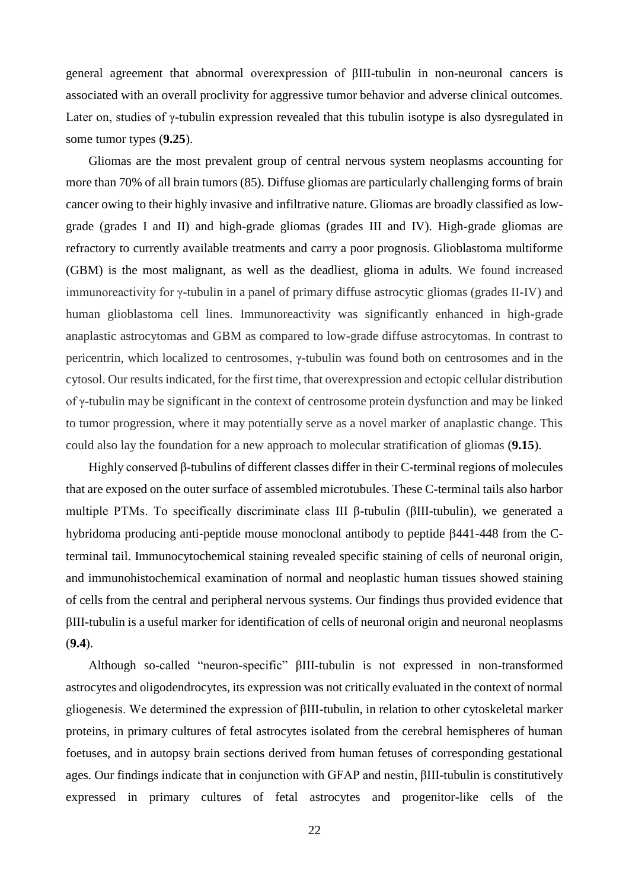general agreement that abnormal overexpression of βIII-tubulin in non-neuronal cancers is associated with an overall proclivity for aggressive tumor behavior and adverse clinical outcomes. Later on, studies of γ-tubulin expression revealed that this tubulin isotype is also dysregulated in some tumor types (**9.25**).

Gliomas are the most prevalent group of central nervous system neoplasms accounting for more than 70% of all brain tumors (85). Diffuse gliomas are particularly challenging forms of brain cancer owing to their highly invasive and infiltrative nature. Gliomas are broadly classified as lowgrade (grades I and II) and high-grade gliomas (grades III and IV). High-grade gliomas are refractory to currently available treatments and carry a poor prognosis. Glioblastoma multiforme (GBM) is the most malignant, as well as the deadliest, glioma in adults. We found increased immunoreactivity for γ-tubulin in a panel of primary diffuse astrocytic gliomas (grades II-IV) and human glioblastoma cell lines. Immunoreactivity was significantly enhanced in high-grade anaplastic astrocytomas and GBM as compared to low-grade diffuse astrocytomas. In contrast to pericentrin, which localized to centrosomes, γ-tubulin was found both on centrosomes and in the cytosol. Our results indicated, for the first time, that overexpression and ectopic cellular distribution of γ-tubulin may be significant in the context of centrosome protein dysfunction and may be linked to tumor progression, where it may potentially serve as a novel marker of anaplastic change. This could also lay the foundation for a new approach to molecular stratification of gliomas (**9.15**).

Highly conserved β-tubulins of different classes differ in their C-terminal regions of molecules that are exposed on the outer surface of assembled microtubules. These C-terminal tails also harbor multiple PTMs. To specifically discriminate class III β-tubulin (βIII-tubulin), we generated a hybridoma producing anti-peptide mouse monoclonal antibody to peptide  $\beta$ 441-448 from the Cterminal tail. Immunocytochemical staining revealed specific staining of cells of neuronal origin, and immunohistochemical examination of normal and neoplastic human tissues showed staining of cells from the central and peripheral nervous systems. Our findings thus provided evidence that βIII-tubulin is a useful marker for identification of cells of neuronal origin and neuronal neoplasms (**9.4**).

Although so-called "neuron-specific" βIII-tubulin is not expressed in non-transformed astrocytes and oligodendrocytes, its expression was not critically evaluated in the context of normal gliogenesis. We determined the expression of βIII-tubulin, in relation to other cytoskeletal marker proteins, in primary cultures of fetal astrocytes isolated from the cerebral hemispheres of human foetuses, and in autopsy brain sections derived from human fetuses of corresponding gestational ages. Our findings indicate that in conjunction with GFAP and nestin, βIII-tubulin is constitutively expressed in primary cultures of fetal astrocytes and progenitor-like cells of the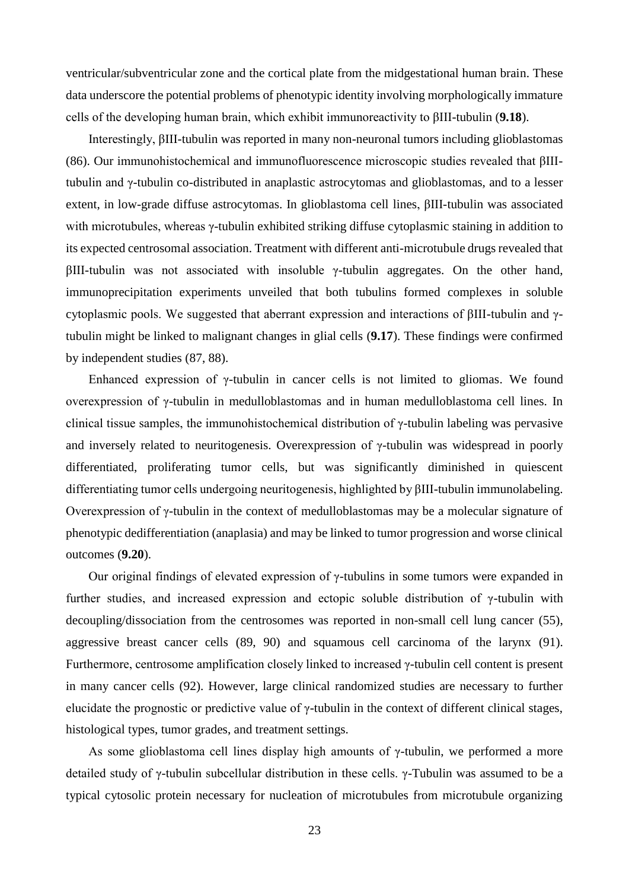ventricular/subventricular zone and the cortical plate from the midgestational human brain. These data underscore the potential problems of phenotypic identity involving morphologically immature cells of the developing human brain, which exhibit immunoreactivity to βIII-tubulin (**9.18**).

Interestingly, βIII-tubulin was reported in many non-neuronal tumors including glioblastomas (86). Our immunohistochemical and immunofluorescence microscopic studies revealed that βIIItubulin and γ-tubulin co-distributed in anaplastic astrocytomas and glioblastomas, and to a lesser extent, in low-grade diffuse astrocytomas. In glioblastoma cell lines, βIII-tubulin was associated with microtubules, whereas γ-tubulin exhibited striking diffuse cytoplasmic staining in addition to its expected centrosomal association. Treatment with different anti-microtubule drugs revealed that  $βIII$ -tubulin was not associated with insoluble γ-tubulin aggregates. On the other hand, immunoprecipitation experiments unveiled that both tubulins formed complexes in soluble cytoplasmic pools. We suggested that aberrant expression and interactions of βIII-tubulin and γtubulin might be linked to malignant changes in glial cells (**9.17**). These findings were confirmed by independent studies (87, 88).

Enhanced expression of  $\gamma$ -tubulin in cancer cells is not limited to gliomas. We found overexpression of γ-tubulin in medulloblastomas and in human medulloblastoma cell lines. In clinical tissue samples, the immunohistochemical distribution of γ-tubulin labeling was pervasive and inversely related to neuritogenesis. Overexpression of  $\gamma$ -tubulin was widespread in poorly differentiated, proliferating tumor cells, but was significantly diminished in quiescent differentiating tumor cells undergoing neuritogenesis, highlighted by βIII-tubulin immunolabeling. Overexpression of γ-tubulin in the context of medulloblastomas may be a molecular signature of phenotypic dedifferentiation (anaplasia) and may be linked to tumor progression and worse clinical outcomes (**9.20**).

Our original findings of elevated expression of γ-tubulins in some tumors were expanded in further studies, and increased expression and ectopic soluble distribution of γ-tubulin with decoupling/dissociation from the centrosomes was reported in non-small cell lung cancer (55), aggressive breast cancer cells (89, 90) and squamous cell carcinoma of the larynx (91). Furthermore, centrosome amplification closely linked to increased γ-tubulin cell content is present in many cancer cells (92). However, large clinical randomized studies are necessary to further elucidate the prognostic or predictive value of γ-tubulin in the context of different clinical stages, histological types, tumor grades, and treatment settings.

As some glioblastoma cell lines display high amounts of γ-tubulin, we performed a more detailed study of γ-tubulin subcellular distribution in these cells. γ-Tubulin was assumed to be a typical cytosolic protein necessary for nucleation of microtubules from microtubule organizing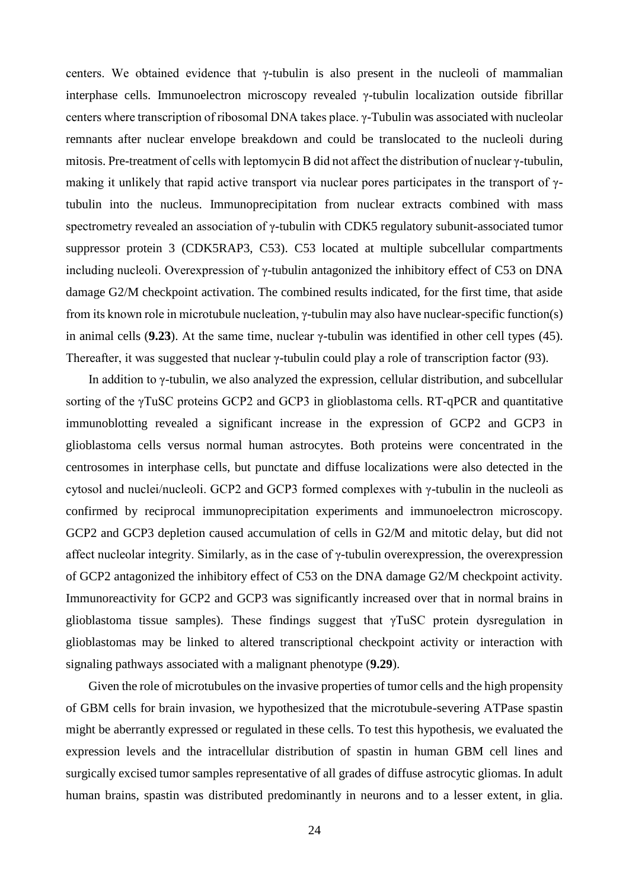centers. We obtained evidence that γ-tubulin is also present in the nucleoli of mammalian interphase cells. Immunoelectron microscopy revealed γ-tubulin localization outside fibrillar centers where transcription of ribosomal DNA takes place. γ-Tubulin was associated with nucleolar remnants after nuclear envelope breakdown and could be translocated to the nucleoli during mitosis. Pre-treatment of cells with leptomycin B did not affect the distribution of nuclear γ-tubulin, making it unlikely that rapid active transport via nuclear pores participates in the transport of γtubulin into the nucleus. Immunoprecipitation from nuclear extracts combined with mass spectrometry revealed an association of γ-tubulin with CDK5 regulatory subunit-associated tumor suppressor protein 3 (CDK5RAP3, C53). C53 located at multiple subcellular compartments including nucleoli. Overexpression of γ-tubulin antagonized the inhibitory effect of C53 on DNA damage G2/M checkpoint activation. The combined results indicated, for the first time, that aside from its known role in microtubule nucleation, γ-tubulin may also have nuclear-specific function(s) in animal cells (**9.23**). At the same time, nuclear γ-tubulin was identified in other cell types (45). Thereafter, it was suggested that nuclear γ-tubulin could play a role of transcription factor (93).

In addition to γ-tubulin, we also analyzed the expression, cellular distribution, and subcellular sorting of the γTuSC proteins GCP2 and GCP3 in glioblastoma cells. RT-qPCR and quantitative immunoblotting revealed a significant increase in the expression of GCP2 and GCP3 in glioblastoma cells versus normal human astrocytes. Both proteins were concentrated in the centrosomes in interphase cells, but punctate and diffuse localizations were also detected in the cytosol and nuclei/nucleoli. GCP2 and GCP3 formed complexes with γ-tubulin in the nucleoli as confirmed by reciprocal immunoprecipitation experiments and immunoelectron microscopy. GCP2 and GCP3 depletion caused accumulation of cells in G2/M and mitotic delay, but did not affect nucleolar integrity. Similarly, as in the case of γ-tubulin overexpression, the overexpression of GCP2 antagonized the inhibitory effect of C53 on the DNA damage G2/M checkpoint activity. Immunoreactivity for GCP2 and GCP3 was significantly increased over that in normal brains in glioblastoma tissue samples). These findings suggest that γTuSC protein dysregulation in glioblastomas may be linked to altered transcriptional checkpoint activity or interaction with signaling pathways associated with a malignant phenotype (**9.29**).

Given the role of microtubules on the invasive properties of tumor cells and the high propensity of GBM cells for brain invasion, we hypothesized that the microtubule-severing ATPase spastin might be aberrantly expressed or regulated in these cells. To test this hypothesis, we evaluated the expression levels and the intracellular distribution of spastin in human GBM cell lines and surgically excised tumor samples representative of all grades of diffuse astrocytic gliomas. In adult human brains, spastin was distributed predominantly in neurons and to a lesser extent, in glia.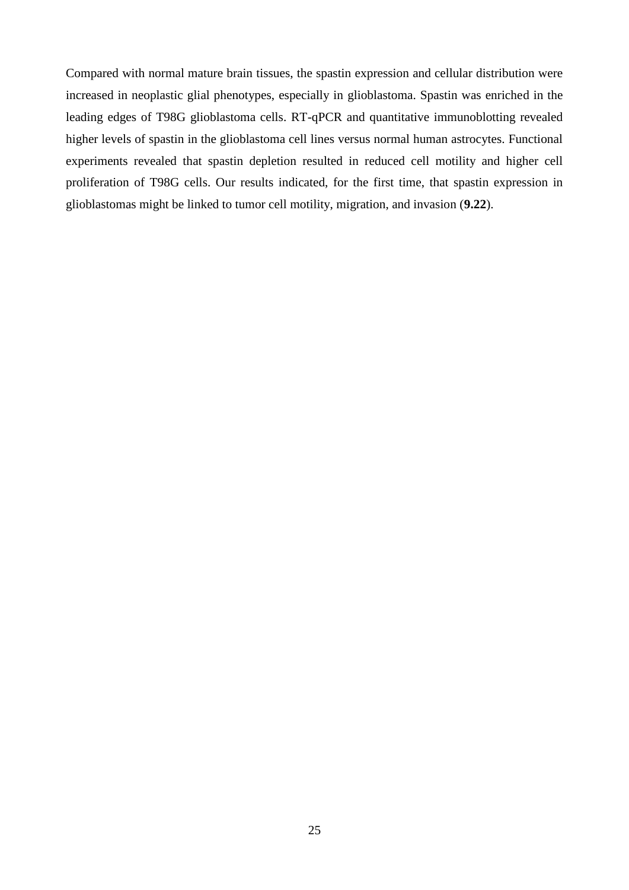Compared with normal mature brain tissues, the spastin expression and cellular distribution were increased in neoplastic glial phenotypes, especially in glioblastoma. Spastin was enriched in the leading edges of T98G glioblastoma cells. RT-qPCR and quantitative immunoblotting revealed higher levels of spastin in the glioblastoma cell lines versus normal human astrocytes. Functional experiments revealed that spastin depletion resulted in reduced cell motility and higher cell proliferation of T98G cells. Our results indicated, for the first time, that spastin expression in glioblastomas might be linked to tumor cell motility, migration, and invasion (**9.22**).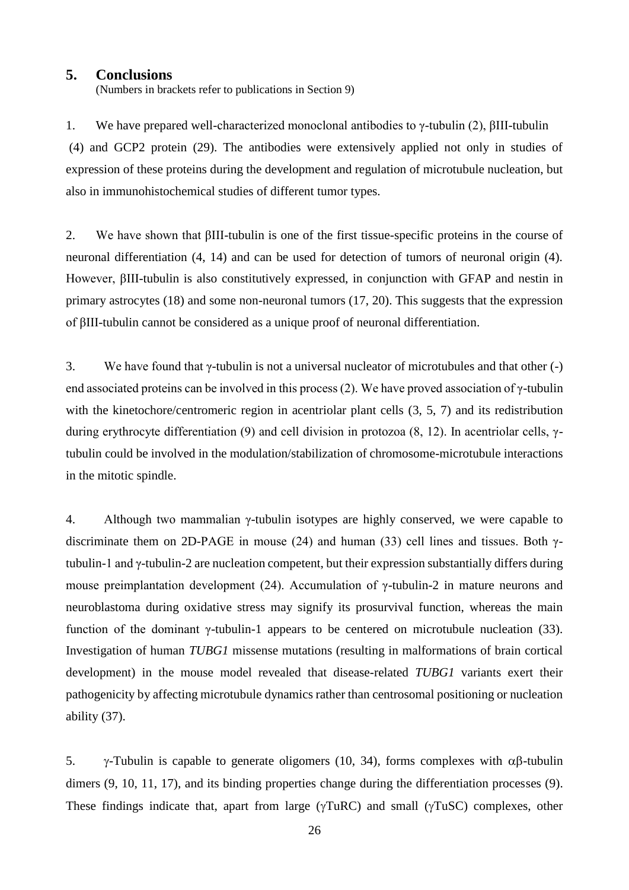#### **5. Conclusions**

(Numbers in brackets refer to publications in Section 9)

1. We have prepared well-characterized monoclonal antibodies to γ-tubulin (2), βIII-tubulin (4) and GCP2 protein (29). The antibodies were extensively applied not only in studies of expression of these proteins during the development and regulation of microtubule nucleation, but also in immunohistochemical studies of different tumor types.

2. We have shown that βIII-tubulin is one of the first tissue-specific proteins in the course of neuronal differentiation (4, 14) and can be used for detection of tumors of neuronal origin (4). However, βIII-tubulin is also constitutively expressed, in conjunction with GFAP and nestin in primary astrocytes (18) and some non-neuronal tumors (17, 20). This suggests that the expression of βIII-tubulin cannot be considered as a unique proof of neuronal differentiation.

3. We have found that  $\gamma$ -tubulin is not a universal nucleator of microtubules and that other (-) end associated proteins can be involved in this process (2). We have proved association of  $\gamma$ -tubulin with the kinetochore/centromeric region in acentriolar plant cells  $(3, 5, 7)$  and its redistribution during erythrocyte differentiation (9) and cell division in protozoa (8, 12). In acentriolar cells, γtubulin could be involved in the modulation/stabilization of chromosome-microtubule interactions in the mitotic spindle.

4. Although two mammalian γ-tubulin isotypes are highly conserved, we were capable to discriminate them on 2D-PAGE in mouse (24) and human (33) cell lines and tissues. Both  $\gamma$ tubulin-1 and γ-tubulin-2 are nucleation competent, but their expression substantially differs during mouse preimplantation development (24). Accumulation of γ-tubulin-2 in mature neurons and neuroblastoma during oxidative stress may signify its prosurvival function, whereas the main function of the dominant γ-tubulin-1 appears to be centered on microtubule nucleation (33). Investigation of human *TUBG1* missense mutations (resulting in malformations of brain cortical development) in the mouse model revealed that disease-related *TUBG1* variants exert their pathogenicity by affecting microtubule dynamics rather than centrosomal positioning or nucleation ability (37).

5.  $\gamma$ -Tubulin is capable to generate oligomers (10, 34), forms complexes with  $\alpha\beta$ -tubulin dimers (9, 10, 11, 17), and its binding properties change during the differentiation processes (9). These findings indicate that, apart from large  $(\gamma T u RC)$  and small  $(\gamma T u SC)$  complexes, other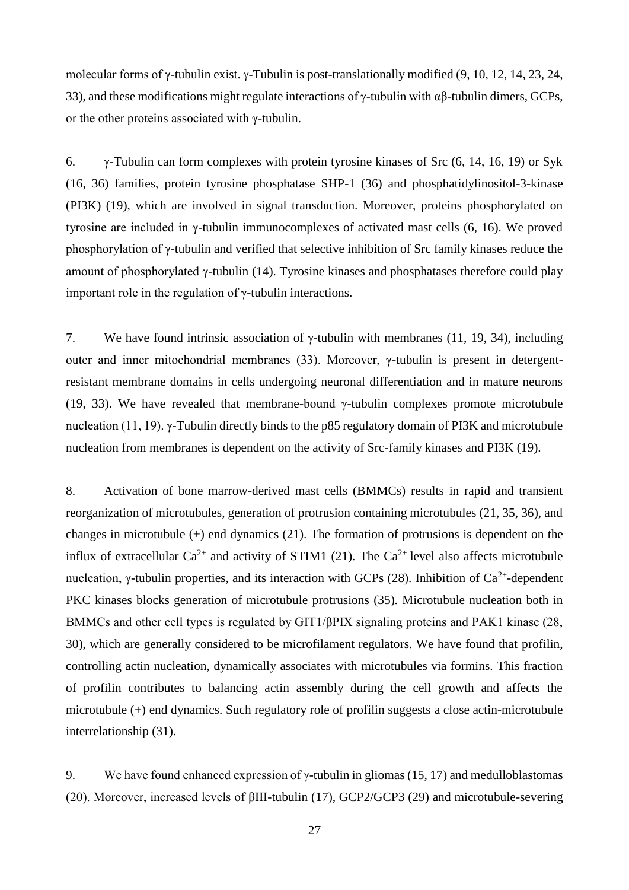molecular forms of  $\gamma$ -tubulin exist.  $\gamma$ -Tubulin is post-translationally modified (9, 10, 12, 14, 23, 24, 33), and these modifications might regulate interactions of  $\gamma$ -tubulin with αβ-tubulin dimers, GCPs, or the other proteins associated with γ-tubulin.

6. γ-Tubulin can form complexes with protein tyrosine kinases of Src (6, 14, 16, 19) or Syk (16, 36) families, protein tyrosine phosphatase SHP-1 (36) and phosphatidylinositol-3-kinase (PI3K) (19), which are involved in signal transduction. Moreover, proteins phosphorylated on tyrosine are included in γ-tubulin immunocomplexes of activated mast cells (6, 16). We proved phosphorylation of γ-tubulin and verified that selective inhibition of Src family kinases reduce the amount of phosphorylated γ-tubulin (14). Tyrosine kinases and phosphatases therefore could play important role in the regulation of γ-tubulin interactions.

7. We have found intrinsic association of  $\gamma$ -tubulin with membranes (11, 19, 34), including outer and inner mitochondrial membranes (33). Moreover, γ-tubulin is present in detergentresistant membrane domains in cells undergoing neuronal differentiation and in mature neurons (19, 33). We have revealed that membrane-bound  $\gamma$ -tubulin complexes promote microtubule nucleation (11, 19). γ-Tubulin directly binds to the p85 regulatory domain of PI3K and microtubule nucleation from membranes is dependent on the activity of Src-family kinases and PI3K (19).

8. Activation of bone marrow-derived mast cells (BMMCs) results in rapid and transient reorganization of microtubules, generation of protrusion containing microtubules (21, 35, 36), and changes in microtubule (+) end dynamics (21). The formation of protrusions is dependent on the influx of extracellular  $Ca^{2+}$  and activity of STIM1 (21). The  $Ca^{2+}$  level also affects microtubule nucleation, γ-tubulin properties, and its interaction with GCPs (28). Inhibition of  $Ca^{2+}$ -dependent PKC kinases blocks generation of microtubule protrusions (35). Microtubule nucleation both in BMMCs and other cell types is regulated by GIT1/βPIX signaling proteins and PAK1 kinase (28, 30), which are generally considered to be microfilament regulators. We have found that profilin, controlling actin nucleation, dynamically associates with microtubules via formins. This fraction of profilin contributes to balancing actin assembly during the cell growth and affects the microtubule (+) end dynamics. Such regulatory role of profilin suggests a close actin-microtubule interrelationship (31).

9. We have found enhanced expression of  $\gamma$ -tubulin in gliomas (15, 17) and medulloblastomas (20). Moreover, increased levels of βIII-tubulin (17), GCP2/GCP3 (29) and microtubule-severing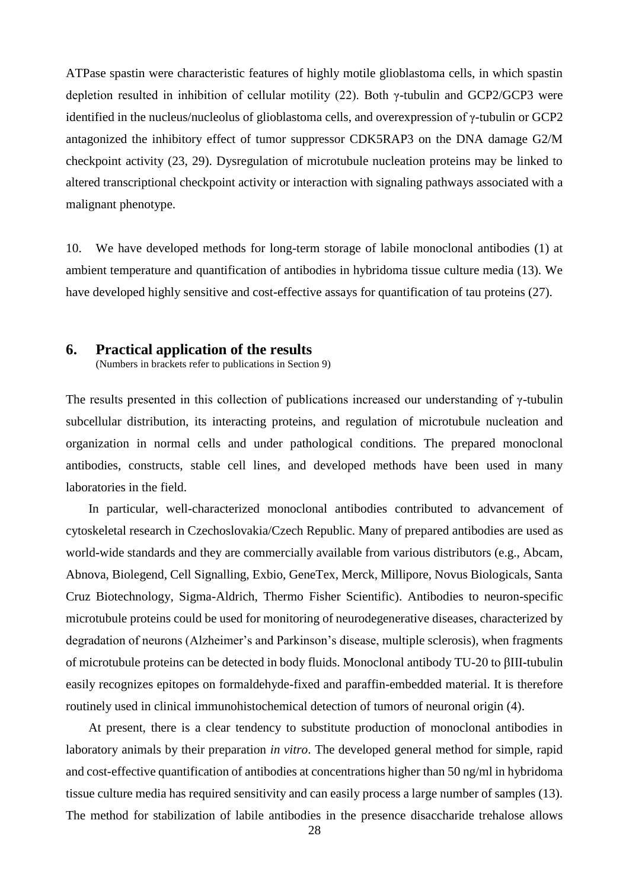ATPase spastin were characteristic features of highly motile glioblastoma cells, in which spastin depletion resulted in inhibition of cellular motility (22). Both γ-tubulin and GCP2/GCP3 were identified in the nucleus/nucleolus of glioblastoma cells, and overexpression of γ-tubulin or GCP2 antagonized the inhibitory effect of tumor suppressor CDK5RAP3 on the DNA damage G2/M checkpoint activity (23, 29). Dysregulation of microtubule nucleation proteins may be linked to altered transcriptional checkpoint activity or interaction with signaling pathways associated with a malignant phenotype.

10. We have developed methods for long-term storage of labile monoclonal antibodies (1) at ambient temperature and quantification of antibodies in hybridoma tissue culture media (13). We have developed highly sensitive and cost-effective assays for quantification of tau proteins (27).

# **6. Practical application of the results**

(Numbers in brackets refer to publications in Section 9)

The results presented in this collection of publications increased our understanding of γ-tubulin subcellular distribution, its interacting proteins, and regulation of microtubule nucleation and organization in normal cells and under pathological conditions. The prepared monoclonal antibodies, constructs, stable cell lines, and developed methods have been used in many laboratories in the field.

In particular, well-characterized monoclonal antibodies contributed to advancement of cytoskeletal research in Czechoslovakia/Czech Republic. Many of prepared antibodies are used as world-wide standards and they are commercially available from various distributors (e.g., Abcam, Abnova, Biolegend, Cell Signalling, Exbio, GeneTex, Merck, Millipore, Novus Biologicals, Santa Cruz Biotechnology, Sigma-Aldrich, Thermo Fisher Scientific). Antibodies to neuron-specific microtubule proteins could be used for monitoring of neurodegenerative diseases, characterized by degradation of neurons (Alzheimer's and Parkinson's disease, multiple sclerosis), when fragments of microtubule proteins can be detected in body fluids. Monoclonal antibody TU-20 to βIII-tubulin easily recognizes epitopes on formaldehyde-fixed and paraffin-embedded material. It is therefore routinely used in clinical immunohistochemical detection of tumors of neuronal origin (4).

At present, there is a clear tendency to substitute production of monoclonal antibodies in laboratory animals by their preparation *in vitro*. The developed general method for simple, rapid and cost-effective quantification of antibodies at concentrations higher than 50 ng/ml in hybridoma tissue culture media has required sensitivity and can easily process a large number of samples (13). The method for stabilization of labile antibodies in the presence disaccharide trehalose allows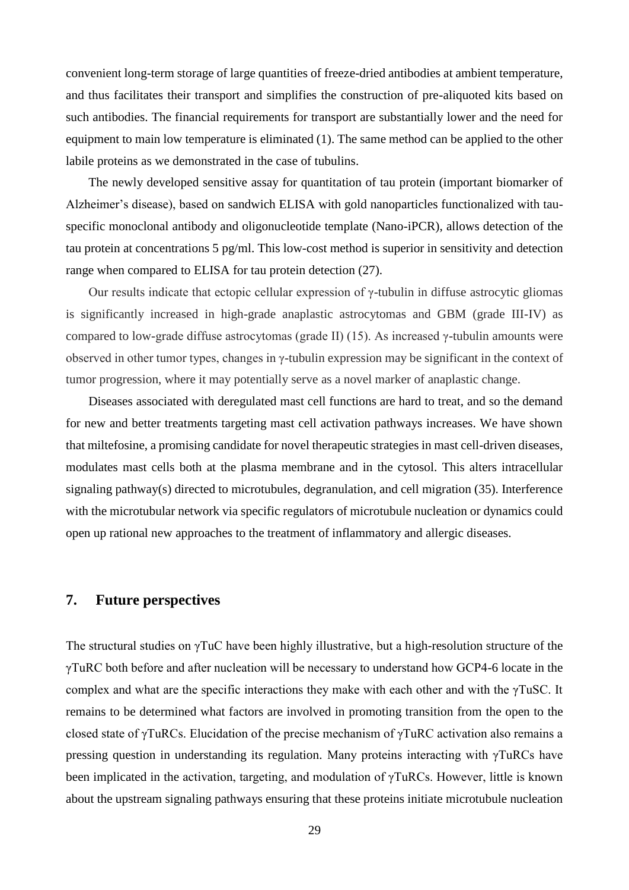convenient long-term storage of large quantities of freeze-dried antibodies at ambient temperature, and thus facilitates their transport and simplifies the construction of pre-aliquoted kits based on such antibodies. The financial requirements for transport are substantially lower and the need for equipment to main low temperature is eliminated (1). The same method can be applied to the other labile proteins as we demonstrated in the case of tubulins.

The newly developed sensitive assay for quantitation of tau protein (important biomarker of Alzheimer's disease), based on sandwich ELISA with gold nanoparticles functionalized with tauspecific monoclonal antibody and oligonucleotide template (Nano-iPCR), allows detection of the tau protein at concentrations 5 pg/ml. This low-cost method is superior in sensitivity and detection range when compared to ELISA for tau protein detection (27).

Our results indicate that ectopic cellular expression of γ-tubulin in diffuse astrocytic gliomas is significantly increased in high-grade anaplastic astrocytomas and GBM (grade III-IV) as compared to low-grade diffuse astrocytomas (grade II) (15). As increased γ-tubulin amounts were observed in other tumor types, changes in γ-tubulin expression may be significant in the context of tumor progression, where it may potentially serve as a novel marker of anaplastic change.

Diseases associated with deregulated mast cell functions are hard to treat, and so the demand for new and better treatments targeting mast cell activation pathways increases. We have shown that miltefosine, a promising candidate for novel therapeutic strategies in mast cell-driven diseases, modulates mast cells both at the plasma membrane and in the cytosol. This alters intracellular signaling pathway(s) directed to microtubules, degranulation, and cell migration (35). Interference with the microtubular network via specific regulators of microtubule nucleation or dynamics could open up rational new approaches to the treatment of inflammatory and allergic diseases.

# **7. Future perspectives**

The structural studies on γTuC have been highly illustrative, but a high-resolution structure of the γTuRC both before and after nucleation will be necessary to understand how GCP4-6 locate in the complex and what are the specific interactions they make with each other and with the γTuSC. It remains to be determined what factors are involved in promoting transition from the open to the closed state of γTuRCs. Elucidation of the precise mechanism of γTuRC activation also remains a pressing question in understanding its regulation. Many proteins interacting with γTuRCs have been implicated in the activation, targeting, and modulation of γTuRCs. However, little is known about the upstream signaling pathways ensuring that these proteins initiate microtubule nucleation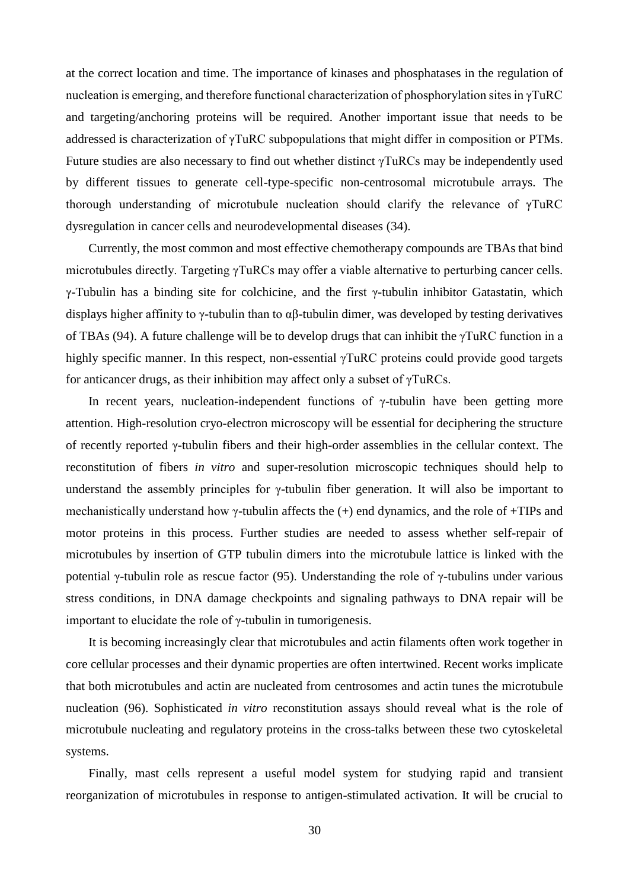at the correct location and time. The importance of kinases and phosphatases in the regulation of nucleation is emerging, and therefore functional characterization of phosphorylation sites in γTuRC and targeting/anchoring proteins will be required. Another important issue that needs to be addressed is characterization of γTuRC subpopulations that might differ in composition or PTMs. Future studies are also necessary to find out whether distinct γTuRCs may be independently used by different tissues to generate cell-type-specific non-centrosomal microtubule arrays. The thorough understanding of microtubule nucleation should clarify the relevance of γTuRC dysregulation in cancer cells and neurodevelopmental diseases (34).

Currently, the most common and most effective chemotherapy compounds are TBAs that bind microtubules directly. Targeting γTuRCs may offer a viable alternative to perturbing cancer cells. γ-Tubulin has a binding site for colchicine, and the first γ-tubulin inhibitor Gatastatin, which displays higher affinity to  $\gamma$ -tubulin than to  $\alpha\beta$ -tubulin dimer, was developed by testing derivatives of TBAs (94). A future challenge will be to develop drugs that can inhibit the γTuRC function in a highly specific manner. In this respect, non-essential γTuRC proteins could provide good targets for anticancer drugs, as their inhibition may affect only a subset of γTuRCs.

In recent years, nucleation-independent functions of  $\gamma$ -tubulin have been getting more attention. High-resolution cryo-electron microscopy will be essential for deciphering the structure of recently reported γ-tubulin fibers and their high-order assemblies in the cellular context. The reconstitution of fibers *in vitro* and super-resolution microscopic techniques should help to understand the assembly principles for  $\gamma$ -tubulin fiber generation. It will also be important to mechanistically understand how  $\gamma$ -tubulin affects the  $(+)$  end dynamics, and the role of +TIPs and motor proteins in this process. Further studies are needed to assess whether self-repair of microtubules by insertion of GTP tubulin dimers into the microtubule lattice is linked with the potential γ-tubulin role as rescue factor (95). Understanding the role of γ-tubulins under various stress conditions, in DNA damage checkpoints and signaling pathways to DNA repair will be important to elucidate the role of γ-tubulin in tumorigenesis.

It is becoming increasingly clear that microtubules and actin filaments often work together in core cellular processes and their dynamic properties are often intertwined. Recent works implicate that both microtubules and actin are nucleated from centrosomes and actin tunes the microtubule nucleation (96). Sophisticated *in vitro* reconstitution assays should reveal what is the role of microtubule nucleating and regulatory proteins in the cross-talks between these two cytoskeletal systems.

Finally, mast cells represent a useful model system for studying rapid and transient reorganization of microtubules in response to antigen-stimulated activation. It will be crucial to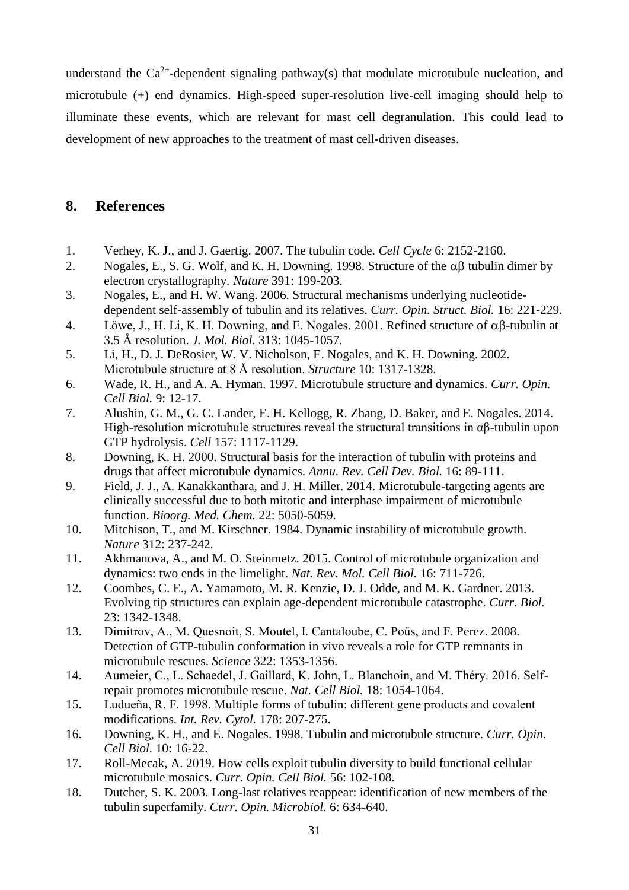understand the  $Ca^{2+}$ -dependent signaling pathway(s) that modulate microtubule nucleation, and microtubule (+) end dynamics. High-speed super-resolution live-cell imaging should help to illuminate these events, which are relevant for mast cell degranulation. This could lead to development of new approaches to the treatment of mast cell-driven diseases.

# **8. References**

- 1. Verhey, K. J., and J. Gaertig. 2007. The tubulin code. *Cell Cycle* 6: 2152-2160.
- 2. Nogales, E., S. G. Wolf, and K. H. Downing. 1998. Structure of the  $\alpha\beta$  tubulin dimer by electron crystallography. *Nature* 391: 199-203.
- 3. Nogales, E., and H. W. Wang. 2006. Structural mechanisms underlying nucleotidedependent self-assembly of tubulin and its relatives. *Curr. Opin. Struct. Biol.* 16: 221-229.
- 4. Löwe, J., H. Li, K. H. Downing, and E. Nogales. 2001. Refined structure of  $\alpha\beta$ -tubulin at 3.5 Å resolution. *J. Mol. Biol.* 313: 1045-1057.
- 5. Li, H., D. J. DeRosier, W. V. Nicholson, E. Nogales, and K. H. Downing. 2002. Microtubule structure at 8 Å resolution. *Structure* 10: 1317-1328.
- 6. Wade, R. H., and A. A. Hyman. 1997. Microtubule structure and dynamics. *Curr. Opin. Cell Biol.* 9: 12-17.
- 7. Alushin, G. M., G. C. Lander, E. H. Kellogg, R. Zhang, D. Baker, and E. Nogales. 2014. High-resolution microtubule structures reveal the structural transitions in  $\alpha\beta$ -tubulin upon GTP hydrolysis. *Cell* 157: 1117-1129.
- 8. Downing, K. H. 2000. Structural basis for the interaction of tubulin with proteins and drugs that affect microtubule dynamics. *Annu. Rev. Cell Dev. Biol.* 16: 89-111.
- 9. Field, J. J., A. Kanakkanthara, and J. H. Miller. 2014. Microtubule-targeting agents are clinically successful due to both mitotic and interphase impairment of microtubule function. *Bioorg. Med. Chem.* 22: 5050-5059.
- 10. Mitchison, T., and M. Kirschner. 1984. Dynamic instability of microtubule growth. *Nature* 312: 237-242.
- 11. Akhmanova, A., and M. O. Steinmetz. 2015. Control of microtubule organization and dynamics: two ends in the limelight. *Nat. Rev. Mol. Cell Biol.* 16: 711-726.
- 12. Coombes, C. E., A. Yamamoto, M. R. Kenzie, D. J. Odde, and M. K. Gardner. 2013. Evolving tip structures can explain age-dependent microtubule catastrophe. *Curr. Biol.*  23: 1342-1348.
- 13. Dimitrov, A., M. Quesnoit, S. Moutel, I. Cantaloube, C. Poüs, and F. Perez. 2008. Detection of GTP-tubulin conformation in vivo reveals a role for GTP remnants in microtubule rescues. *Science* 322: 1353-1356.
- 14. Aumeier, C., L. Schaedel, J. Gaillard, K. John, L. Blanchoin, and M. Théry. 2016. Selfrepair promotes microtubule rescue. *Nat. Cell Biol.* 18: 1054-1064.
- 15. Ludueña, R. F. 1998. Multiple forms of tubulin: different gene products and covalent modifications. *Int. Rev. Cytol.* 178: 207-275.
- 16. Downing, K. H., and E. Nogales. 1998. Tubulin and microtubule structure. *Curr. Opin. Cell Biol.* 10: 16-22.
- 17. Roll-Mecak, A. 2019. How cells exploit tubulin diversity to build functional cellular microtubule mosaics. *Curr. Opin. Cell Biol.* 56: 102-108.
- 18. Dutcher, S. K. 2003. Long-last relatives reappear: identification of new members of the tubulin superfamily. *Curr. Opin. Microbiol.* 6: 634-640.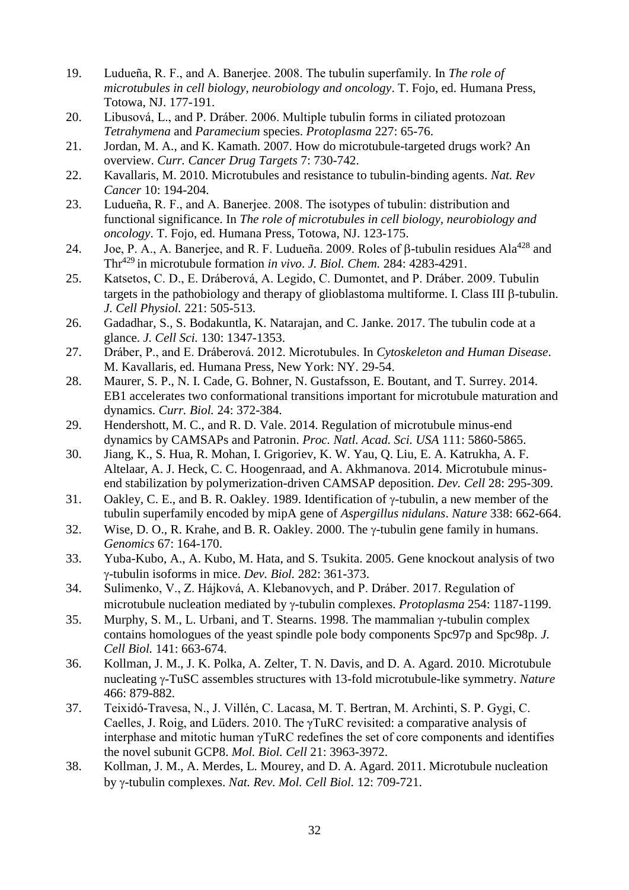- 19. Ludueña, R. F., and A. Banerjee. 2008. The tubulin superfamily. In *The role of microtubules in cell biology, neurobiology and oncology*. T. Fojo, ed. Humana Press, Totowa, NJ. 177-191.
- 20. Libusová, L., and P. Dráber. 2006. Multiple tubulin forms in ciliated protozoan *Tetrahymena* and *Paramecium* species. *Protoplasma* 227: 65-76.
- 21. Jordan, M. A., and K. Kamath. 2007. How do microtubule-targeted drugs work? An overview. *Curr. Cancer Drug Targets* 7: 730-742.
- 22. Kavallaris, M. 2010. Microtubules and resistance to tubulin-binding agents. *Nat. Rev Cancer* 10: 194-204.
- 23. Ludueña, R. F., and A. Banerjee. 2008. The isotypes of tubulin: distribution and functional significance. In *The role of microtubules in cell biology, neurobiology and oncology*. T. Fojo, ed. Humana Press, Totowa, NJ. 123-175.
- 24. Joe, P. A., A. Baneriee, and R. F. Ludueña. 2009. Roles of  $\beta$ -tubulin residues Ala<sup>428</sup> and Thr<sup>429</sup> in microtubule formation *in vivo. J. Biol. Chem.* 284: 4283-4291.
- 25. Katsetos, C. D., E. Dráberová, A. Legido, C. Dumontet, and P. Dráber. 2009. Tubulin targets in the pathobiology and therapy of glioblastoma multiforme. I. Class III  $\beta$ -tubulin. *J. Cell Physiol.* 221: 505-513.
- 26. Gadadhar, S., S. Bodakuntla, K. Natarajan, and C. Janke. 2017. The tubulin code at a glance. *J. Cell Sci.* 130: 1347-1353.
- 27. Dráber, P., and E. Dráberová. 2012. Microtubules. In *Cytoskeleton and Human Disease*. M. Kavallaris, ed. Humana Press, New York: NY. 29-54.
- 28. Maurer, S. P., N. I. Cade, G. Bohner, N. Gustafsson, E. Boutant, and T. Surrey. 2014. EB1 accelerates two conformational transitions important for microtubule maturation and dynamics. *Curr. Biol.* 24: 372-384.
- 29. Hendershott, M. C., and R. D. Vale. 2014. Regulation of microtubule minus-end dynamics by CAMSAPs and Patronin. *Proc. Natl. Acad. Sci. USA* 111: 5860-5865.
- 30. Jiang, K., S. Hua, R. Mohan, I. Grigoriev, K. W. Yau, Q. Liu, E. A. Katrukha, A. F. Altelaar, A. J. Heck, C. C. Hoogenraad, and A. Akhmanova. 2014. Microtubule minusend stabilization by polymerization-driven CAMSAP deposition. *Dev. Cell* 28: 295-309.
- 31. Oakley, C. E., and B. R. Oakley. 1989. Identification of  $\gamma$ -tubulin, a new member of the tubulin superfamily encoded by mipA gene of *Aspergillus nidulans*. *Nature* 338: 662-664.
- 32. Wise, D. O., R. Krahe, and B. R. Oakley. 2000. The  $\gamma$ -tubulin gene family in humans. *Genomics* 67: 164-170.
- 33. Yuba-Kubo, A., A. Kubo, M. Hata, and S. Tsukita. 2005. Gene knockout analysis of two -tubulin isoforms in mice. *Dev. Biol.* 282: 361-373.
- 34. Sulimenko, V., Z. Hájková, A. Klebanovych, and P. Dráber. 2017. Regulation of microtubule nucleation mediated by y-tubulin complexes. *Protoplasma* 254: 1187-1199.
- $35.$  Murphy, S. M., L. Urbani, and T. Stearns. 1998. The mammalian  $\gamma$ -tubulin complex contains homologues of the yeast spindle pole body components Spc97p and Spc98p. *J. Cell Biol.* 141: 663-674.
- 36. Kollman, J. M., J. K. Polka, A. Zelter, T. N. Davis, and D. A. Agard. 2010. Microtubule nucleating y-TuSC assembles structures with 13-fold microtubule-like symmetry. *Nature* 466: 879-882.
- 37. Teixidó-Travesa, N., J. Villén, C. Lacasa, M. T. Bertran, M. Archinti, S. P. Gygi, C. Caelles, J. Roig, and Lüders. 2010. The γTuRC revisited: a comparative analysis of interphase and mitotic human γTuRC redefines the set of core components and identifies the novel subunit GCP8. *Mol. Biol. Cell* 21: 3963-3972.
- 38. Kollman, J. M., A. Merdes, L. Mourey, and D. A. Agard. 2011. Microtubule nucleation by *y*-tubulin complexes. *Nat. Rev. Mol. Cell Biol.* 12: 709-721.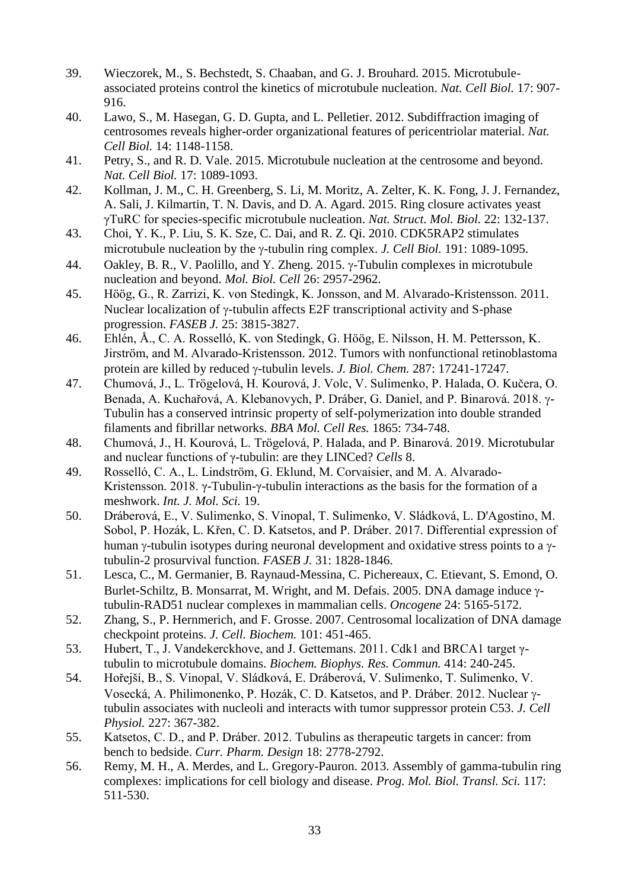- 39. Wieczorek, M., S. Bechstedt, S. Chaaban, and G. J. Brouhard. 2015. Microtubuleassociated proteins control the kinetics of microtubule nucleation. *Nat. Cell Biol.* 17: 907- 916.
- 40. Lawo, S., M. Hasegan, G. D. Gupta, and L. Pelletier. 2012. Subdiffraction imaging of centrosomes reveals higher-order organizational features of pericentriolar material. *Nat. Cell Biol.* 14: 1148-1158.
- 41. Petry, S., and R. D. Vale. 2015. Microtubule nucleation at the centrosome and beyond. *Nat. Cell Biol.* 17: 1089-1093.
- 42. Kollman, J. M., C. H. Greenberg, S. Li, M. Moritz, A. Zelter, K. K. Fong, J. J. Fernandez, A. Sali, J. Kilmartin, T. N. Davis, and D. A. Agard. 2015. Ring closure activates yeast γTuRC for species-specific microtubule nucleation. *Nat. Struct. Mol. Biol.* 22: 132-137.
- 43. Choi, Y. K., P. Liu, S. K. Sze, C. Dai, and R. Z. Qi. 2010. CDK5RAP2 stimulates microtubule nucleation by the  $\gamma$ -tubulin ring complex. *J. Cell Biol.* 191: 1089-1095.
- 44. Oakley, B. R., V. Paolillo, and Y. Zheng. 2015.  $\gamma$ -Tubulin complexes in microtubule nucleation and beyond. *Mol. Biol. Cell* 26: 2957-2962.
- 45. Höög, G., R. Zarrizi, K. von Stedingk, K. Jonsson, and M. Alvarado-Kristensson. 2011. Nuclear localization of  $\gamma$ -tubulin affects E2F transcriptional activity and S-phase progression. *FASEB J.* 25: 3815-3827.
- 46. Ehlén, Å., C. A. Rosselló, K. von Stedingk, G. Höög, E. Nilsson, H. M. Pettersson, K. Jirström, and M. Alvarado-Kristensson. 2012. Tumors with nonfunctional retinoblastoma protein are killed by reduced  $\gamma$ -tubulin levels. *J. Biol. Chem.* 287: 17241-17247.
- 47. Chumová, J., L. Trögelová, H. Kourová, J. Volc, V. Sulimenko, P. Halada, O. Kučera, O. Benada, A. Kuchařová, A. Klebanovych, P. Dráber, G. Daniel, and P. Binarová. 2018.  $\gamma$ -Tubulin has a conserved intrinsic property of self-polymerization into double stranded filaments and fibrillar networks. *BBA Mol. Cell Res.* 1865: 734-748.
- 48. Chumová, J., H. Kourová, L. Trögelová, P. Halada, and P. Binarová. 2019. Microtubular and nuclear functions of γ-tubulin: are they LINCed? *Cells* 8.
- 49. Rosselló, C. A., L. Lindström, G. Eklund, M. Corvaisier, and M. A. Alvarado-Kristensson. 2018. γ-Tubulin-γ-tubulin interactions as the basis for the formation of a meshwork. *Int. J. Mol. Sci.* 19.
- 50. Dráberová, E., V. Sulimenko, S. Vinopal, T. Sulimenko, V. Sládková, L. D'Agostino, M. Sobol, P. Hozák, L. Křen, C. D. Katsetos, and P. Dráber. 2017. Differential expression of human  $\gamma$ -tubulin isotypes during neuronal development and oxidative stress points to a  $\gamma$ tubulin-2 prosurvival function. *FASEB J.* 31: 1828-1846.
- 51. Lesca, C., M. Germanier, B. Raynaud-Messina, C. Pichereaux, C. Etievant, S. Emond, O. Burlet-Schiltz, B. Monsarrat, M. Wright, and M. Defais. 2005. DNA damage induce  $\gamma$ tubulin-RAD51 nuclear complexes in mammalian cells. *Oncogene* 24: 5165-5172.
- 52. Zhang, S., P. Hernmerich, and F. Grosse. 2007. Centrosomal localization of DNA damage checkpoint proteins. *J. Cell. Biochem.* 101: 451-465.
- 53. Hubert, T., J. Vandekerckhove, and J. Gettemans. 2011. Cdk1 and BRCA1 target γtubulin to microtubule domains. *Biochem. Biophys. Res. Commun.* 414: 240-245.
- 54. Hořejší, B., S. Vinopal, V. Sládková, E. Dráberová, V. Sulimenko, T. Sulimenko, V. Vosecká, A. Philimonenko, P. Hozák, C. D. Katsetos, and P. Dráber. 2012. Nuclear tubulin associates with nucleoli and interacts with tumor suppressor protein C53. *J. Cell Physiol.* 227: 367-382.
- 55. Katsetos, C. D., and P. Dráber. 2012. Tubulins as therapeutic targets in cancer: from bench to bedside. *Curr. Pharm. Design* 18: 2778-2792.
- 56. Remy, M. H., A. Merdes, and L. Gregory-Pauron. 2013. Assembly of gamma-tubulin ring complexes: implications for cell biology and disease. *Prog. Mol. Biol. Transl. Sci.* 117: 511-530.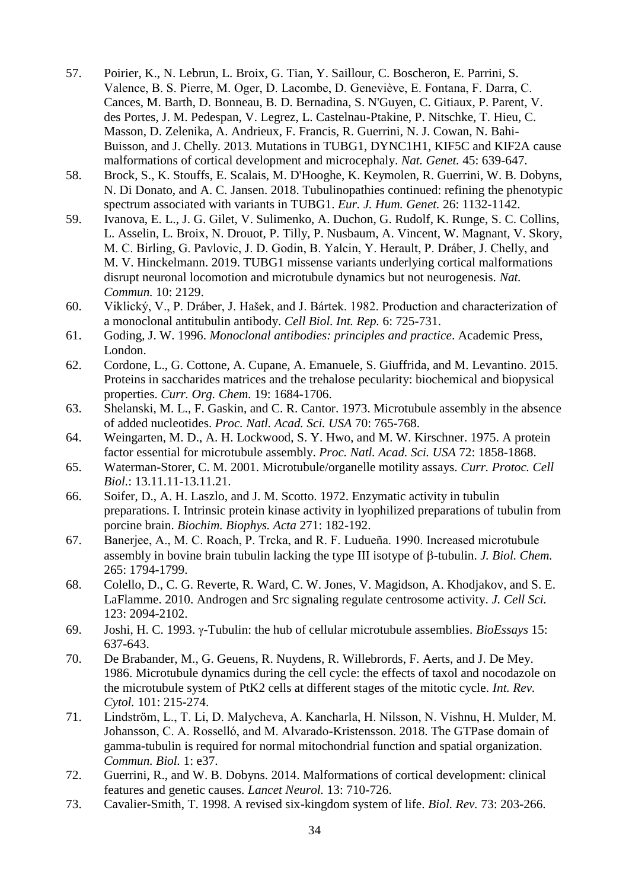- 57. Poirier, K., N. Lebrun, L. Broix, G. Tian, Y. Saillour, C. Boscheron, E. Parrini, S. Valence, B. S. Pierre, M. Oger, D. Lacombe, D. Geneviève, E. Fontana, F. Darra, C. Cances, M. Barth, D. Bonneau, B. D. Bernadina, S. N'Guyen, C. Gitiaux, P. Parent, V. des Portes, J. M. Pedespan, V. Legrez, L. Castelnau-Ptakine, P. Nitschke, T. Hieu, C. Masson, D. Zelenika, A. Andrieux, F. Francis, R. Guerrini, N. J. Cowan, N. Bahi-Buisson, and J. Chelly. 2013. Mutations in TUBG1, DYNC1H1, KIF5C and KIF2A cause malformations of cortical development and microcephaly. *Nat. Genet.* 45: 639-647.
- 58. Brock, S., K. Stouffs, E. Scalais, M. D'Hooghe, K. Keymolen, R. Guerrini, W. B. Dobyns, N. Di Donato, and A. C. Jansen. 2018. Tubulinopathies continued: refining the phenotypic spectrum associated with variants in TUBG1. *Eur. J. Hum. Genet.* 26: 1132-1142.
- 59. Ivanova, E. L., J. G. Gilet, V. Sulimenko, A. Duchon, G. Rudolf, K. Runge, S. C. Collins, L. Asselin, L. Broix, N. Drouot, P. Tilly, P. Nusbaum, A. Vincent, W. Magnant, V. Skory, M. C. Birling, G. Pavlovic, J. D. Godin, B. Yalcin, Y. Herault, P. Dráber, J. Chelly, and M. V. Hinckelmann. 2019. TUBG1 missense variants underlying cortical malformations disrupt neuronal locomotion and microtubule dynamics but not neurogenesis. *Nat. Commun.* 10: 2129.
- 60. Viklický, V., P. Dráber, J. Hašek, and J. Bártek. 1982. Production and characterization of a monoclonal antitubulin antibody. *Cell Biol. Int. Rep.* 6: 725-731.
- 61. Goding, J. W. 1996. *Monoclonal antibodies: principles and practice*. Academic Press, London.
- 62. Cordone, L., G. Cottone, A. Cupane, A. Emanuele, S. Giuffrida, and M. Levantino. 2015. Proteins in saccharides matrices and the trehalose pecularity: biochemical and biopysical properties. *Curr. Org. Chem.* 19: 1684-1706.
- 63. Shelanski, M. L., F. Gaskin, and C. R. Cantor. 1973. Microtubule assembly in the absence of added nucleotides. *Proc. Natl. Acad. Sci. USA* 70: 765-768.
- 64. Weingarten, M. D., A. H. Lockwood, S. Y. Hwo, and M. W. Kirschner. 1975. A protein factor essential for microtubule assembly. *Proc. Natl. Acad. Sci. USA* 72: 1858-1868.
- 65. Waterman-Storer, C. M. 2001. Microtubule/organelle motility assays. *Curr. Protoc. Cell Biol.*: 13.11.11-13.11.21.
- 66. Soifer, D., A. H. Laszlo, and J. M. Scotto. 1972. Enzymatic activity in tubulin preparations. I. Intrinsic protein kinase activity in lyophilized preparations of tubulin from porcine brain. *Biochim. Biophys. Acta* 271: 182-192.
- 67. Banerjee, A., M. C. Roach, P. Trcka, and R. F. Ludueña. 1990. Increased microtubule assembly in bovine brain tubulin lacking the type III isotype of  $\beta$ -tubulin. *J. Biol. Chem.* 265: 1794-1799.
- 68. Colello, D., C. G. Reverte, R. Ward, C. W. Jones, V. Magidson, A. Khodjakov, and S. E. LaFlamme. 2010. Androgen and Src signaling regulate centrosome activity. *J. Cell Sci.*  123: 2094-2102.
- 69. Joshi, H. C. 1993. γ-Tubulin: the hub of cellular microtubule assemblies. *BioEssays* 15: 637-643.
- 70. De Brabander, M., G. Geuens, R. Nuydens, R. Willebrords, F. Aerts, and J. De Mey. 1986. Microtubule dynamics during the cell cycle: the effects of taxol and nocodazole on the microtubule system of PtK2 cells at different stages of the mitotic cycle. *Int. Rev. Cytol.* 101: 215-274.
- 71. Lindström, L., T. Li, D. Malycheva, A. Kancharla, H. Nilsson, N. Vishnu, H. Mulder, M. Johansson, C. A. Rosselló, and M. Alvarado-Kristensson. 2018. The GTPase domain of gamma-tubulin is required for normal mitochondrial function and spatial organization. *Commun. Biol.* 1: e37.
- 72. Guerrini, R., and W. B. Dobyns. 2014. Malformations of cortical development: clinical features and genetic causes. *Lancet Neurol.* 13: 710-726.
- 73. Cavalier-Smith, T. 1998. A revised six-kingdom system of life. *Biol. Rev.* 73: 203-266.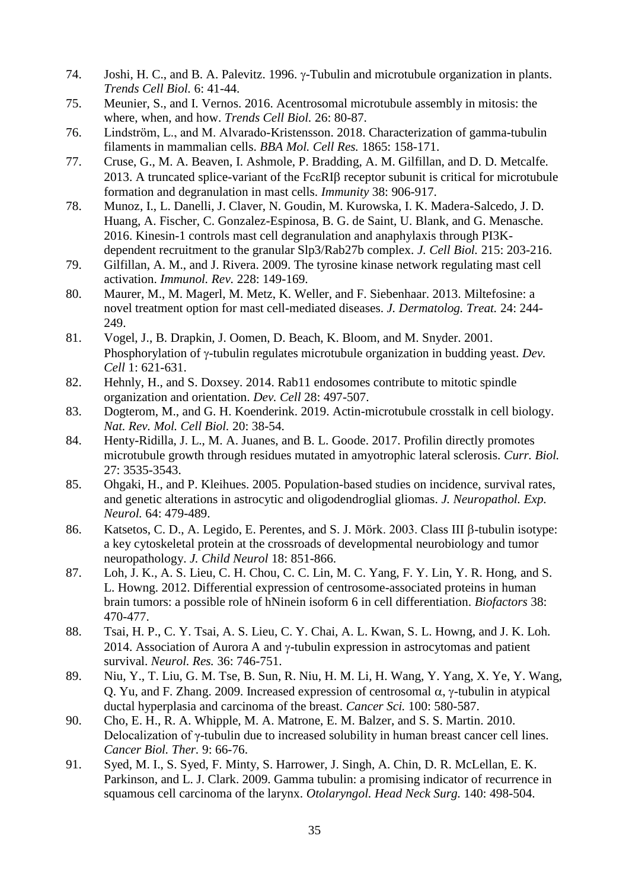- 74. Joshi, H. C., and B. A. Palevitz. 1996.  $\gamma$ -Tubulin and microtubule organization in plants. *Trends Cell Biol.* 6: 41-44.
- 75. Meunier, S., and I. Vernos. 2016. Acentrosomal microtubule assembly in mitosis: the where, when, and how. *Trends Cell Biol.* 26: 80-87.
- 76. Lindström, L., and M. Alvarado-Kristensson. 2018. Characterization of gamma-tubulin filaments in mammalian cells. *BBA Mol. Cell Res.* 1865: 158-171.
- 77. Cruse, G., M. A. Beaven, I. Ashmole, P. Bradding, A. M. Gilfillan, and D. D. Metcalfe. 2013. A truncated splice-variant of the Fc $\epsilon$ RIB receptor subunit is critical for microtubule formation and degranulation in mast cells. *Immunity* 38: 906-917.
- 78. Munoz, I., L. Danelli, J. Claver, N. Goudin, M. Kurowska, I. K. Madera-Salcedo, J. D. Huang, A. Fischer, C. Gonzalez-Espinosa, B. G. de Saint, U. Blank, and G. Menasche. 2016. Kinesin-1 controls mast cell degranulation and anaphylaxis through PI3Kdependent recruitment to the granular Slp3/Rab27b complex. *J. Cell Biol.* 215: 203-216.
- 79. Gilfillan, A. M., and J. Rivera. 2009. The tyrosine kinase network regulating mast cell activation. *Immunol. Rev.* 228: 149-169.
- 80. Maurer, M., M. Magerl, M. Metz, K. Weller, and F. Siebenhaar. 2013. Miltefosine: a novel treatment option for mast cell-mediated diseases. *J. Dermatolog. Treat.* 24: 244- 249.
- 81. Vogel, J., B. Drapkin, J. Oomen, D. Beach, K. Bloom, and M. Snyder. 2001. Phosphorylation of  $\gamma$ -tubulin regulates microtubule organization in budding yeast. *Dev. Cell* 1: 621-631.
- 82. Hehnly, H., and S. Doxsey. 2014. Rab11 endosomes contribute to mitotic spindle organization and orientation. *Dev. Cell* 28: 497-507.
- 83. Dogterom, M., and G. H. Koenderink. 2019. Actin-microtubule crosstalk in cell biology. *Nat. Rev. Mol. Cell Biol.* 20: 38-54.
- 84. Henty-Ridilla, J. L., M. A. Juanes, and B. L. Goode. 2017. Profilin directly promotes microtubule growth through residues mutated in amyotrophic lateral sclerosis. *Curr. Biol.*  27: 3535-3543.
- 85. Ohgaki, H., and P. Kleihues. 2005. Population-based studies on incidence, survival rates, and genetic alterations in astrocytic and oligodendroglial gliomas. *J. Neuropathol. Exp. Neurol.* 64: 479-489.
- 86. Katsetos, C. D., A. Legido, E. Perentes, and S. J. Mörk. 2003. Class III  $\beta$ -tubulin isotype: a key cytoskeletal protein at the crossroads of developmental neurobiology and tumor neuropathology. *J. Child Neurol* 18: 851-866.
- 87. Loh, J. K., A. S. Lieu, C. H. Chou, C. C. Lin, M. C. Yang, F. Y. Lin, Y. R. Hong, and S. L. Howng. 2012. Differential expression of centrosome-associated proteins in human brain tumors: a possible role of hNinein isoform 6 in cell differentiation. *Biofactors* 38: 470-477.
- 88. Tsai, H. P., C. Y. Tsai, A. S. Lieu, C. Y. Chai, A. L. Kwan, S. L. Howng, and J. K. Loh. 2014. Association of Aurora A and  $\gamma$ -tubulin expression in astrocytomas and patient survival. *Neurol. Res.* 36: 746-751.
- 89. Niu, Y., T. Liu, G. M. Tse, B. Sun, R. Niu, H. M. Li, H. Wang, Y. Yang, X. Ye, Y. Wang, O. Yu, and F. Zhang. 2009. Increased expression of centrosomal  $\alpha$ ,  $\gamma$ -tubulin in atypical ductal hyperplasia and carcinoma of the breast. *Cancer Sci.* 100: 580-587.
- 90. Cho, E. H., R. A. Whipple, M. A. Matrone, E. M. Balzer, and S. S. Martin. 2010. Delocalization of γ-tubulin due to increased solubility in human breast cancer cell lines. *Cancer Biol. Ther.* 9: 66-76.
- 91. Syed, M. I., S. Syed, F. Minty, S. Harrower, J. Singh, A. Chin, D. R. McLellan, E. K. Parkinson, and L. J. Clark. 2009. Gamma tubulin: a promising indicator of recurrence in squamous cell carcinoma of the larynx. *Otolaryngol. Head Neck Surg.* 140: 498-504.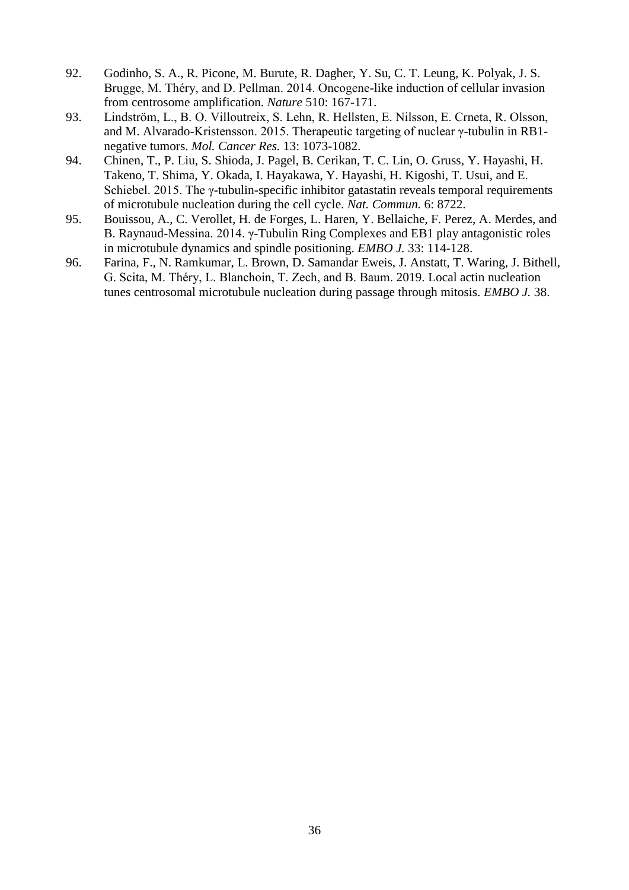- 92. Godinho, S. A., R. Picone, M. Burute, R. Dagher, Y. Su, C. T. Leung, K. Polyak, J. S. Brugge, M. Théry, and D. Pellman. 2014. Oncogene-like induction of cellular invasion from centrosome amplification. *Nature* 510: 167-171.
- 93. Lindström, L., B. O. Villoutreix, S. Lehn, R. Hellsten, E. Nilsson, E. Crneta, R. Olsson, and M. Alvarado-Kristensson. 2015. Therapeutic targeting of nuclear γ-tubulin in RB1 negative tumors. *Mol. Cancer Res.* 13: 1073-1082.
- 94. Chinen, T., P. Liu, S. Shioda, J. Pagel, B. Cerikan, T. C. Lin, O. Gruss, Y. Hayashi, H. Takeno, T. Shima, Y. Okada, I. Hayakawa, Y. Hayashi, H. Kigoshi, T. Usui, and E. Schiebel. 2015. The γ-tubulin-specific inhibitor gatastatin reveals temporal requirements of microtubule nucleation during the cell cycle. *Nat. Commun.* 6: 8722.
- 95. Bouissou, A., C. Verollet, H. de Forges, L. Haren, Y. Bellaiche, F. Perez, A. Merdes, and B. Raynaud-Messina. 2014. γ-Tubulin Ring Complexes and EB1 play antagonistic roles in microtubule dynamics and spindle positioning. *EMBO J.* 33: 114-128.
- 96. Farina, F., N. Ramkumar, L. Brown, D. Samandar Eweis, J. Anstatt, T. Waring, J. Bithell, G. Scita, M. Théry, L. Blanchoin, T. Zech, and B. Baum. 2019. Local actin nucleation tunes centrosomal microtubule nucleation during passage through mitosis. *EMBO J.* 38.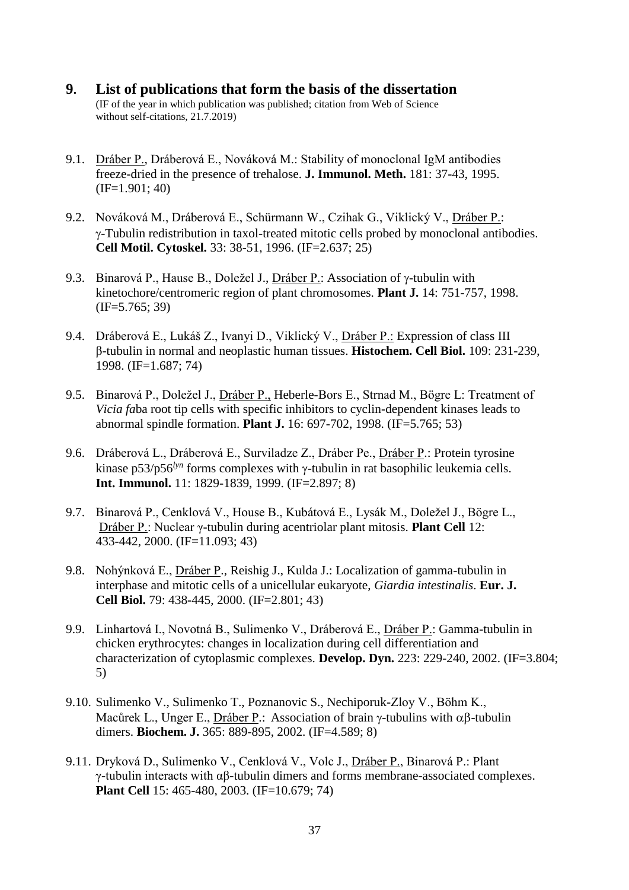- **9. List of publications that form the basis of the dissertation** (IF of the year in which publication was published; citation from Web of Science without self-citations, 21.7.2019)
- 9.1. Dráber P., Dráberová E., Nováková M.: Stability of monoclonal IgM antibodies freeze-dried in the presence of trehalose. **J. Immunol. Meth.** 181: 37-43, 1995. (IF=1.901; 40)
- 9.2. Nováková M., Dráberová E., Schürmann W., Czihak G., Viklický V., Dráber P.: -Tubulin redistribution in taxol-treated mitotic cells probed by monoclonal antibodies. **Cell Motil. Cytoskel.** 33: 38-51, 1996. (IF=2.637; 25)
- 9.3. Binarová P., Hause B., Doležel J., Dráber P.: Association of  $\gamma$ -tubulin with kinetochore/centromeric region of plant chromosomes. **Plant J.** 14: 751-757, 1998. (IF=5.765; 39)
- 9.4. Dráberová E., Lukáš Z., Ivanyi D., Viklický V., Dráber P.: Expression of class III β-tubulin in normal and neoplastic human tissues. **Histochem. Cell Biol.** 109: 231-239, 1998. (IF=1.687; 74)
- 9.5. Binarová P., Doležel J., Dráber P., Heberle-Bors E., Strnad M., Bögre L: Treatment of *Vicia fa*ba root tip cells with specific inhibitors to cyclin-dependent kinases leads to abnormal spindle formation. **Plant J.** 16: 697-702, 1998. (IF=5.765; 53)
- 9.6. Dráberová L., Dráberová E., Surviladze Z., Dráber Pe., Dráber P.: Protein tyrosine kinase p53/p56<sup>*lyn*</sup> forms complexes with  $\gamma$ -tubulin in rat basophilic leukemia cells. **Int. Immunol.** 11: 1829-1839, 1999. (IF=2.897; 8)
- 9.7. Binarová P., Cenklová V., House B., Kubátová E., Lysák M., Doležel J., Bögre L., Dráber P.: Nuclear γ-tubulin during acentriolar plant mitosis. **Plant Cell** 12: 433-442, 2000. (IF=11.093; 43)
- 9.8. Nohýnková E., Dráber P., Reishig J., Kulda J.: Localization of gamma-tubulin in interphase and mitotic cells of a unicellular eukaryote, *Giardia intestinalis*. **Eur. J. Cell Biol.** 79: 438-445, 2000. (IF=2.801; 43)
- 9.9. Linhartová I., Novotná B., Sulimenko V., Dráberová E., Dráber P.: Gamma-tubulin in chicken erythrocytes: changes in localization during cell differentiation and characterization of cytoplasmic complexes. **Develop. Dyn.** 223: 229-240, 2002. (IF=3.804; 5)
- 9.10. Sulimenko V., Sulimenko T., Poznanovic S., Nechiporuk-Zloy V., Böhm K., Macůrek L., Unger E., Dráber P.: Association of brain  $\gamma$ -tubulins with  $\alpha\beta$ -tubulin dimers. **Biochem. J.** 365: 889-895, 2002. (IF=4.589; 8)
- 9.11. Dryková D., Sulimenko V., Cenklová V., Volc J., Dráber P., Binarová P.: Plant γ-tubulin interacts with αβ-tubulin dimers and forms membrane-associated complexes. **Plant Cell** 15: 465-480, 2003. (IF=10.679; 74)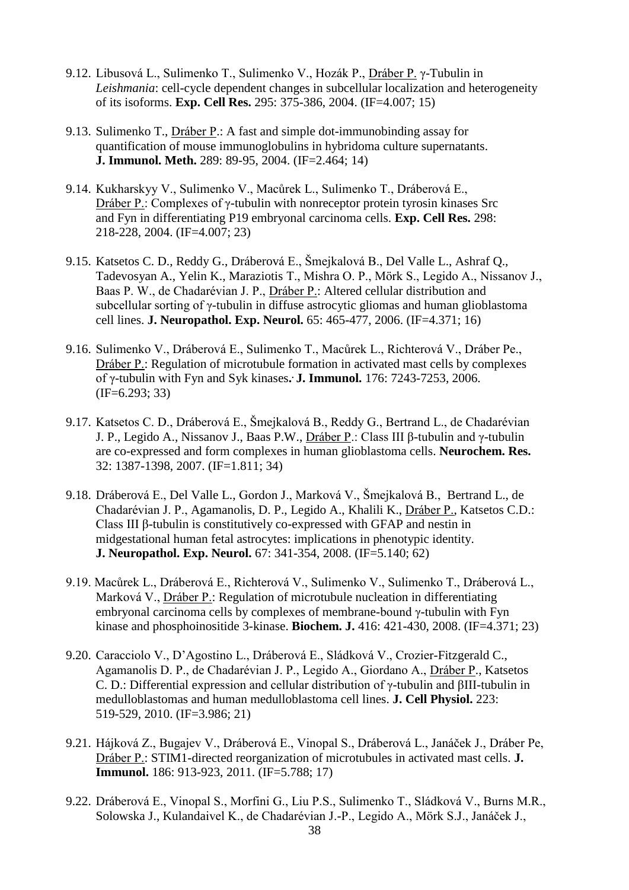- 9.12. Libusová L., Sulimenko T., Sulimenko V., Hozák P., Dráber P. γ-Tubulin in *Leishmania*: cell-cycle dependent changes in subcellular localization and heterogeneity of its isoforms. **Exp. Cell Res.** 295: 375-386, 2004. (IF=4.007; 15)
- 9.13. Sulimenko T., Dráber P.: A fast and simple dot-immunobinding assay for quantification of mouse immunoglobulins in hybridoma culture supernatants. **J. Immunol. Meth.** 289: 89-95, 2004. (IF=2.464; 14)
- 9.14. Kukharskyy V., Sulimenko V., Macůrek L., Sulimenko T., Dráberová E., Dráber P.: Complexes of γ-tubulin with nonreceptor protein tyrosin kinases Src and Fyn in differentiating P19 embryonal carcinoma cells. **Exp. Cell Res.** 298: 218-228, 2004. (IF=4.007; 23)
- 9.15. Katsetos C. D., Reddy G., Dráberová E., Šmejkalová B., Del Valle L., Ashraf Q., Tadevosyan A., Yelin K., Maraziotis T., Mishra O. P., Mörk S., Legido A., Nissanov J., Baas P. W., de Chadarévian J. P., Dráber P.: Altered cellular distribution and subcellular sorting of γ-tubulin in diffuse astrocytic gliomas and human glioblastoma cell lines. **J. Neuropathol. Exp. Neurol.** 65: 465-477, 2006. (IF=4.371; 16)
- 9.16. Sulimenko V., Dráberová E., Sulimenko T., Macůrek L., Richterová V., Dráber Pe., Dráber P.: Regulation of microtubule formation in activated mast cells by complexes of γ-tubulin with Fyn and Syk kinases**. . J. Immunol.** 176: 7243-7253, 2006. (IF=6.293; 33)
- 9.17. Katsetos C. D., Dráberová E., Šmejkalová B., Reddy G., Bertrand L., de Chadarévian J. P., Legido A., Nissanov J., Baas P.W., Dráber P.: Class III β-tubulin and γ-tubulin are co-expressed and form complexes in human glioblastoma cells. **Neurochem. Res.** 32: 1387-1398, 2007. (IF=1.811; 34)
- 9.18. Dráberová E., Del Valle L., Gordon J., Marková V., Šmejkalová B., Bertrand L., de Chadarévian J. P., Agamanolis, D. P., Legido A., Khalili K., Dráber P., Katsetos C.D.: Class III β-tubulin is constitutively co-expressed with GFAP and nestin in midgestational human fetal astrocytes: implications in phenotypic identity. **J. Neuropathol. Exp. Neurol.** 67: 341-354, 2008. (IF=5.140; 62)
- 9.19. Macůrek L., Dráberová E., Richterová V., Sulimenko V., Sulimenko T., Dráberová L., Marková V., Dráber P.: Regulation of microtubule nucleation in differentiating embryonal carcinoma cells by complexes of membrane-bound γ-tubulin with Fyn kinase and phosphoinositide 3-kinase. **Biochem. J.** 416: 421-430, 2008. (IF=4.371; 23)
- 9.20. Caracciolo V., D'Agostino L., Dráberová E., Sládková V., Crozier-Fitzgerald C., Agamanolis D. P., de Chadarévian J. P., Legido A., Giordano A., Dráber P., Katsetos C. D.: Differential expression and cellular distribution of γ-tubulin and βIII-tubulin in medulloblastomas and human medulloblastoma cell lines. **J. Cell Physiol.** 223: 519-529, 2010. (IF=3.986; 21)
- 9.21. Hájková Z., Bugajev V., Dráberová E., Vinopal S., Dráberová L., Janáček J., Dráber Pe, Dráber P.: STIM1-directed reorganization of microtubules in activated mast cells. **J. Immunol.** 186: 913-923, 2011. (IF=5.788; 17)
- 9.22. Dráberová E., Vinopal S., Morfini G., Liu P.S., Sulimenko T., Sládková V., Burns M.R., Solowska J., Kulandaivel K., de Chadarévian J.-P., Legido A., Mörk S.J., Janáček J.,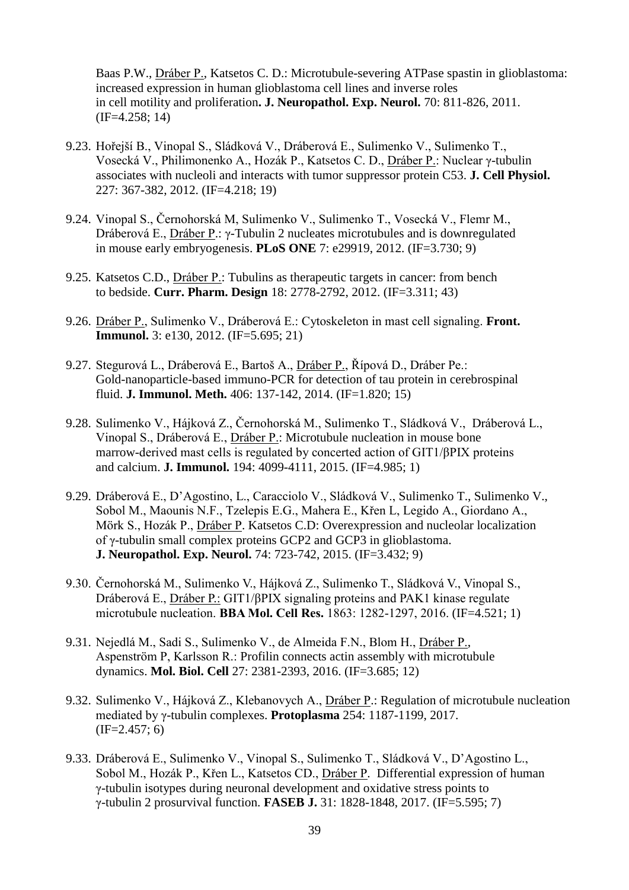Baas P.W., Dráber P., Katsetos C. D.: Microtubule-severing ATPase spastin in glioblastoma: increased expression in human glioblastoma cell lines and inverse roles in cell motility and proliferation**. J. Neuropathol. Exp. Neurol.** 70: 811-826, 2011. (IF=4.258; 14)

- 9.23. Hořejší B., Vinopal S., Sládková V., Dráberová E., Sulimenko V., Sulimenko T., Vosecká V., Philimonenko A., Hozák P., Katsetos C. D., Dráber P.: Nuclear γ-tubulin associates with nucleoli and interacts with tumor suppressor protein C53. **J. Cell Physiol.**  227: 367-382, 2012. (IF=4.218; 19)
- 9.24. Vinopal S., Černohorská M, Sulimenko V., Sulimenko T., Vosecká V., Flemr M., Dráberová E., Dráber P.: γ-Tubulin 2 nucleates microtubules and is downregulated in mouse early embryogenesis. **PLoS ONE** 7: e29919, 2012. (IF=3.730; 9)
- 9.25. Katsetos C.D., Dráber P.: Tubulins as therapeutic targets in cancer: from bench to bedside. **Curr. Pharm. Design** 18: 2778-2792, 2012. (IF=3.311; 43)
- 9.26. Dráber P., Sulimenko V., Dráberová E.: Cytoskeleton in mast cell signaling. **Front. Immunol.** 3: e130, 2012. (IF=5.695; 21)
- 9.27. Stegurová L., Dráberová E., Bartoš A., Dráber P., Řípová D., Dráber Pe.: Gold-nanoparticle-based immuno-PCR for detection of tau protein in cerebrospinal fluid. **J. Immunol. Meth.** 406: 137-142, 2014. (IF=1.820; 15)
- 9.28. Sulimenko V., Hájková Z., Černohorská M., Sulimenko T., Sládková V., Dráberová L., Vinopal S., Dráberová E., Dráber P.: Microtubule nucleation in mouse bone marrow-derived mast cells is regulated by concerted action of GIT1/βPIX proteins and calcium. **J. Immunol.** 194: 4099-4111, 2015. (IF=4.985; 1)
- 9.29. Dráberová E., D'Agostino, L., Caracciolo V., Sládková V., Sulimenko T., Sulimenko V., Sobol M., Maounis N.F., Tzelepis E.G., Mahera E., Křen L, Legido A., Giordano A., Mörk S., Hozák P., Dráber P. Katsetos C.D: Overexpression and nucleolar localization of γ-tubulin small complex proteins GCP2 and GCP3 in glioblastoma. **J. Neuropathol. Exp. Neurol.** 74: 723-742, 2015. (IF=3.432; 9)
- 9.30. Černohorská M., Sulimenko V., Hájková Z., Sulimenko T., Sládková V., Vinopal S., Dráberová E., Dráber P.: GIT1/βPIX signaling proteins and PAK1 kinase regulate microtubule nucleation. **BBA Mol. Cell Res.** 1863: 1282-1297, 2016. (IF=4.521; 1)
- 9.31. Nejedlá M., Sadi S., Sulimenko V., de Almeida F.N., Blom H., Dráber P., Aspenström P, Karlsson R.: Profilin connects actin assembly with microtubule dynamics. **Mol. Biol. Cell** 27: 2381-2393, 2016. (IF=3.685; 12)
- 9.32. Sulimenko V., Hájková Z., Klebanovych A., Dráber P.: Regulation of microtubule nucleation mediated by γ-tubulin complexes. **Protoplasma** 254: 1187-1199, 2017.  $(IF=2.457; 6)$
- 9.33. Dráberová E., Sulimenko V., Vinopal S., Sulimenko T., Sládková V., D'Agostino L., Sobol M., Hozák P., Křen L., Katsetos CD., Dráber P. Differential expression of human γ-tubulin isotypes during neuronal development and oxidative stress points to γ-tubulin 2 prosurvival function. **FASEB J.** 31: 1828-1848, 2017. (IF=5.595; 7)